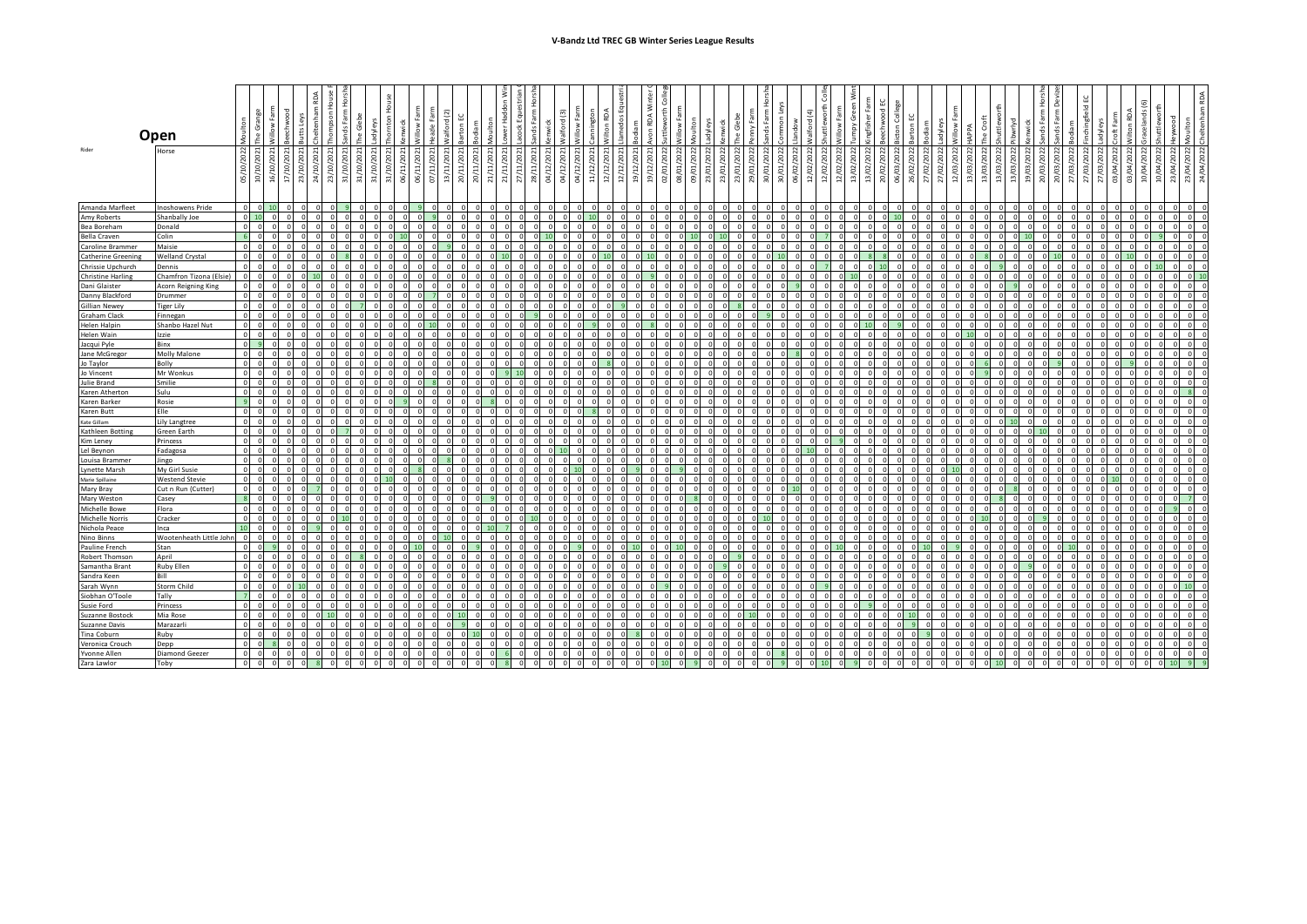|                          |                         |                                            |                                                                  |                     |          |     |                                            |                              |                                            |            |           |                                             |                 |                 |    |                         |    |            |             |                  |            |            |                 |                                             |         |        |   |                            |            |            |            |                 |                      |                                       |        |                           |                  |                        |            |            |            |                |       |                                              | 회                         |          |   |                           |                    |                 |            |            |                             |          |
|--------------------------|-------------------------|--------------------------------------------|------------------------------------------------------------------|---------------------|----------|-----|--------------------------------------------|------------------------------|--------------------------------------------|------------|-----------|---------------------------------------------|-----------------|-----------------|----|-------------------------|----|------------|-------------|------------------|------------|------------|-----------------|---------------------------------------------|---------|--------|---|----------------------------|------------|------------|------------|-----------------|----------------------|---------------------------------------|--------|---------------------------|------------------|------------------------|------------|------------|------------|----------------|-------|----------------------------------------------|---------------------------|----------|---|---------------------------|--------------------|-----------------|------------|------------|-----------------------------|----------|
|                          |                         |                                            |                                                                  |                     |          |     |                                            | å                            | 후                                          | 호          |           | N.                                          |                 |                 |    |                         |    |            | Valford (3) | Allow Farm       | annington  | Ř          | Ξ<br>ios        | RDA                                         |         |        |   | Glebe                      | $\geq$     | ds Fan     |            |                 |                      |                                       | ō      |                           |                  |                        |            |            |            |                |       |                                              | Fam                       |          |   |                           |                    | è               | ž          |            |                             |          |
|                          | Open                    |                                            |                                                                  |                     |          |     |                                            |                              |                                            |            |           |                                             |                 |                 |    |                         |    |            |             |                  |            |            |                 |                                             |         |        |   |                            |            |            |            |                 |                      |                                       |        |                           |                  |                        |            | villow     |            |                |       |                                              |                           |          |   |                           |                    |                 |            |            |                             |          |
| Rider                    | Horse                   |                                            |                                                                  |                     |          |     |                                            |                              |                                            |            |           |                                             |                 |                 |    |                         |    |            |             |                  |            |            |                 |                                             |         |        |   |                            |            |            |            |                 |                      |                                       |        |                           |                  |                        |            |            |            |                |       |                                              |                           |          |   |                           |                    |                 |            |            |                             |          |
|                          |                         | ੇ<br>G)                                    | 2021<br>202<br>ਕੁ<br>$\tilde{a}$<br>$\frac{5}{2}$<br>$\tilde{a}$ | 10/2021<br>키        | ੁ<br>শ্ৰ | ੍ਰੇ | ਼<br>$\frac{2}{\alpha}$ $\frac{2}{\alpha}$ | (10/2021)<br>$\overline{31}$ | 31/10/2021<br>$\overline{5}$<br>्रे<br>ਜ਼ੋ | 06/11/2021 | 06/11/202 | /2021<br>(2021)<br>07/11/<br>$\overline{3}$ | /2021<br>20/11/ | /2021<br>20/11/ | ਸ਼ | $\vec{a} \cdot \vec{b}$ | 28 | 04/12/2021 | 04/12/2021  | (2021)<br>04/12/ | 11/12/2021 | 12/12/2021 | /2021<br>12/12/ | 2021<br>202<br>ੜੇ<br>$\widetilde{g}$<br>ত্র | ຮ<br>8I | ē<br>8 | 8 | 23/01/2022<br>202<br>23/01 | 29/01/2022 | 30/01/2022 | 30/01/2022 | /2022<br>06/02/ | /2022<br>12/02/<br>⊴ | 202<br>$\tilde{c}$<br>$\widetilde{z}$ | g<br>മ | 2022<br>g<br>S<br>2<br>ജി | 06/03,<br>26/02, | (202)<br>ΣΩζ<br>27/02/ | 27/02/2022 | 12/03/2022 | 13/03/2022 | /202<br>13/03/ | 13/03 | /2022<br>g<br>13/03/<br>g<br>$\widetilde{a}$ | 2022<br>$\mathbb{S}$<br>ຊ | පු<br>ຊ  | g | g<br>g<br>$\frac{27}{27}$ | 03/04/2022<br>cuc. | /2022<br>03/04/ | 10/04/2022 | 10/04/2022 | 23/04/2022<br>202<br>23/04) | इ        |
| Amanda Marfleet          | <b>Inoshowens Pride</b> | $\circ$                                    | $\Omega$                                                         |                     |          |     |                                            |                              |                                            |            |           |                                             |                 |                 |    |                         |    |            |             |                  | $\sqrt{2}$ |            |                 |                                             |         |        |   |                            |            |            | $\Omega$   |                 |                      |                                       |        |                           |                  |                        |            |            | $\Omega$   |                |       |                                              |                           |          |   |                           |                    |                 |            |            | $\Omega$                    | $\Omega$ |
| Amy Roberts              | Shanbally Joe           | - ol                                       |                                                                  |                     |          |     |                                            |                              |                                            |            |           |                                             |                 |                 |    |                         |    |            |             |                  |            |            |                 |                                             |         |        |   |                            |            |            |            |                 |                      |                                       |        |                           |                  |                        |            |            |            |                |       |                                              |                           |          |   |                           |                    |                 |            |            |                             | $\Omega$ |
| Bea Boreham              | Donald                  | $\overline{\phantom{0}}$                   |                                                                  |                     |          |     |                                            |                              |                                            |            |           |                                             |                 |                 |    |                         |    |            |             |                  |            |            |                 |                                             |         |        |   |                            |            |            |            |                 |                      |                                       |        |                           |                  |                        |            |            |            |                |       |                                              |                           |          |   |                           |                    |                 |            |            |                             |          |
| <b>Bella Craven</b>      | Colin                   | -6                                         |                                                                  |                     |          |     |                                            |                              |                                            |            |           |                                             |                 |                 |    |                         |    |            |             |                  |            |            |                 |                                             |         |        |   |                            |            |            |            |                 |                      |                                       |        |                           |                  |                        |            |            |            |                |       |                                              |                           |          |   |                           |                    |                 |            |            |                             | $\Omega$ |
| Caroline Brammer         | Maisie                  | $\overline{0}$                             | $\Omega$<br>$\Omega$                                             |                     |          |     |                                            |                              |                                            |            |           |                                             |                 |                 |    |                         |    |            |             |                  | $\Omega$   |            |                 |                                             |         |        |   |                            |            |            |            |                 | $\Omega$             |                                       |        |                           |                  |                        |            |            | $\Omega$   |                |       | $\Omega$                                     |                           |          |   |                           |                    |                 |            |            | $\Omega$<br>$\Omega$        | $\Omega$ |
| Catherine Greening       | <b>Welland Crystal</b>  | $\Omega$                                   |                                                                  |                     |          |     |                                            |                              |                                            |            |           |                                             |                 |                 |    |                         |    |            |             |                  |            |            |                 |                                             |         |        |   |                            |            |            |            |                 |                      |                                       |        |                           |                  |                        |            |            |            |                |       |                                              |                           |          |   |                           |                    |                 |            |            |                             |          |
| Chrissie Upchurch        | Dennis                  | $\Omega$                                   |                                                                  |                     |          |     |                                            |                              |                                            |            |           |                                             |                 |                 |    |                         |    |            |             |                  |            |            |                 |                                             |         |        |   |                            |            |            |            |                 |                      |                                       |        |                           |                  |                        |            |            |            |                |       |                                              |                           |          |   |                           |                    |                 |            |            |                             |          |
| <b>Christine Harling</b> | Chamfron Tizona (Elsie) | $\Omega$                                   |                                                                  |                     |          |     |                                            |                              |                                            |            |           |                                             |                 |                 |    | $\sqrt{2}$              |    |            |             |                  |            |            |                 |                                             |         |        |   |                            |            |            |            |                 |                      |                                       |        |                           |                  |                        |            |            |            |                |       |                                              |                           |          |   |                           |                    |                 |            |            |                             |          |
| Dani Glaister            | Acorn Reigning King     | $\circ$                                    |                                                                  |                     |          |     |                                            |                              |                                            |            |           |                                             |                 |                 |    |                         |    |            |             |                  |            |            |                 |                                             |         |        |   |                            |            |            |            |                 |                      |                                       |        |                           |                  |                        |            |            |            |                |       |                                              |                           |          |   |                           |                    |                 |            |            |                             |          |
| Danny Blackford          | Drummer                 | $\Omega$                                   |                                                                  |                     |          |     |                                            |                              |                                            |            |           |                                             |                 |                 |    |                         |    |            |             |                  |            |            |                 |                                             |         |        |   |                            |            |            |            |                 |                      |                                       |        |                           |                  |                        |            |            |            |                |       |                                              |                           |          |   |                           |                    |                 |            |            |                             |          |
| <b>Gillian Newey</b>     | <b>Tiger Lily</b>       | $\circ$                                    |                                                                  | $\Omega$            |          |     |                                            |                              |                                            |            |           |                                             |                 |                 |    |                         |    |            |             |                  |            |            |                 |                                             |         |        |   |                            |            |            |            |                 |                      |                                       |        |                           |                  |                        |            |            |            |                |       |                                              |                           |          |   |                           |                    |                 |            |            |                             |          |
| <b>Graham Clack</b>      | Finnegan                | $\Omega$                                   |                                                                  | $\sqrt{2}$          |          |     |                                            |                              |                                            |            |           |                                             |                 |                 |    |                         |    |            |             |                  |            |            |                 |                                             |         |        |   |                            |            |            |            |                 |                      |                                       |        |                           |                  |                        |            |            |            |                |       |                                              |                           |          |   |                           |                    |                 |            |            |                             |          |
| <b>Helen Halpin</b>      | Shanbo Hazel Nut        | $\overline{0}$                             | $\overline{\mathbf{0}}$                                          | $\Omega$            |          |     |                                            |                              |                                            |            |           |                                             | $\Omega$        |                 |    |                         |    |            |             |                  |            |            |                 |                                             |         |        |   |                            |            |            |            |                 | $\Omega$             |                                       |        |                           |                  |                        |            |            |            |                |       | $\Omega$                                     |                           |          |   |                           |                    |                 |            |            | $\Omega$                    | $\Omega$ |
| <b>Helen Wain</b>        | Izzie                   | $\circ$                                    |                                                                  |                     |          |     |                                            |                              |                                            |            |           |                                             |                 |                 |    |                         |    |            |             |                  |            |            |                 |                                             |         |        |   |                            |            |            |            |                 |                      |                                       |        |                           |                  |                        |            |            |            |                |       |                                              |                           |          |   |                           |                    |                 |            |            |                             |          |
| Jacqui Pyle              | Binx                    | $\overline{0}$                             |                                                                  |                     |          |     |                                            |                              |                                            |            |           |                                             |                 |                 |    |                         |    |            |             |                  |            |            |                 |                                             |         |        |   |                            |            |            |            |                 |                      |                                       |        |                           |                  |                        |            |            |            |                |       |                                              |                           |          |   |                           |                    |                 |            |            |                             |          |
| Jane McGregor            | <b>Molly Malone</b>     | $\circ$                                    | $\Omega$                                                         |                     |          |     |                                            |                              |                                            |            |           |                                             |                 |                 |    |                         |    |            |             |                  |            |            |                 |                                             |         |        |   |                            |            |            |            |                 |                      |                                       |        |                           |                  |                        |            |            |            |                |       |                                              |                           |          |   |                           |                    |                 |            |            |                             |          |
| Jo Taylor                | Bolly                   | $\overline{0}$                             |                                                                  |                     |          |     |                                            |                              |                                            |            |           |                                             |                 |                 |    |                         |    |            |             |                  |            |            |                 |                                             |         |        |   |                            |            |            |            |                 |                      |                                       |        |                           |                  |                        |            |            |            |                |       |                                              |                           |          |   |                           |                    |                 |            |            |                             |          |
| Jo Vincent               | Mr Wonkus               | $\circ$                                    |                                                                  |                     |          |     |                                            |                              |                                            |            |           |                                             |                 |                 |    |                         |    |            |             |                  |            |            |                 |                                             |         |        |   |                            |            |            |            |                 |                      |                                       |        |                           |                  |                        |            |            |            |                |       |                                              |                           |          |   |                           |                    |                 |            |            |                             |          |
| <b>Julie Brand</b>       | Smilie                  | $\overline{0}$                             |                                                                  |                     |          |     |                                            |                              |                                            |            |           |                                             |                 |                 |    |                         |    |            |             |                  |            |            |                 |                                             |         |        |   |                            |            |            |            |                 |                      |                                       |        |                           |                  |                        |            |            |            |                |       |                                              |                           |          |   |                           |                    |                 |            |            |                             |          |
| Karen Atherton           | Sulu                    | $\overline{0}$                             | $\overline{\mathbf{0}}$                                          |                     |          |     |                                            |                              |                                            |            |           |                                             |                 |                 |    |                         |    |            |             |                  |            |            |                 |                                             |         |        |   |                            |            |            |            |                 |                      |                                       |        |                           |                  |                        |            |            |            |                |       |                                              |                           |          |   |                           |                    |                 |            |            |                             |          |
| Karen Barker             | Rosie                   | $\overline{q}$                             |                                                                  |                     |          |     |                                            |                              |                                            |            |           |                                             |                 |                 |    |                         |    |            |             |                  |            |            |                 |                                             |         |        |   |                            |            |            |            |                 |                      |                                       |        |                           |                  |                        |            |            |            |                |       |                                              |                           |          |   |                           |                    |                 |            |            |                             |          |
| Karen Butt               | File                    | $\overline{0}$                             |                                                                  |                     |          |     |                                            |                              |                                            |            |           |                                             |                 |                 |    |                         |    |            |             |                  |            |            |                 |                                             |         |        |   |                            |            |            |            |                 |                      |                                       |        |                           |                  |                        |            |            |            |                |       |                                              |                           |          |   |                           |                    |                 |            |            |                             |          |
| Kate Gillam              | Lily Langtree           | $\circ$                                    |                                                                  |                     |          |     |                                            |                              |                                            |            |           |                                             |                 |                 |    |                         |    |            |             |                  |            |            |                 |                                             |         |        |   |                            |            |            |            |                 |                      |                                       |        |                           |                  |                        |            |            |            |                |       |                                              |                           |          |   |                           |                    |                 |            |            |                             |          |
| Kathleen Botting         | Green Earth             | $\overline{0}$                             |                                                                  |                     |          |     |                                            |                              |                                            |            |           |                                             |                 |                 |    |                         |    |            |             |                  |            |            |                 |                                             |         |        |   |                            |            |            |            |                 |                      |                                       |        |                           |                  |                        |            |            |            |                |       |                                              |                           |          |   |                           |                    |                 |            |            |                             |          |
| Kim Leney                | Princess                | $\circ$                                    |                                                                  |                     |          |     |                                            |                              |                                            |            |           |                                             |                 |                 |    |                         |    |            |             |                  |            |            |                 |                                             |         |        |   |                            |            |            |            |                 |                      |                                       |        |                           |                  |                        |            |            |            |                |       |                                              |                           |          |   |                           |                    |                 |            |            |                             |          |
| Lel Beynon               | Fadagosa                | $\circ$                                    |                                                                  |                     |          |     |                                            |                              |                                            |            |           |                                             |                 |                 |    |                         |    |            |             |                  |            |            |                 |                                             |         |        |   |                            |            |            |            |                 |                      |                                       |        |                           |                  |                        |            |            |            |                |       |                                              |                           |          |   |                           |                    |                 |            |            |                             |          |
| Louisa Brammer           | Jingo                   | $\overline{0}$                             |                                                                  |                     |          |     |                                            |                              |                                            |            |           |                                             |                 |                 |    |                         |    |            |             |                  |            |            |                 |                                             |         |        |   |                            |            |            |            |                 |                      |                                       |        |                           |                  |                        |            |            |            |                |       |                                              |                           |          |   |                           |                    |                 |            |            |                             |          |
| <b>Lynette Marsh</b>     | My Girl Susie           | $\Omega$                                   |                                                                  |                     |          |     |                                            |                              |                                            |            |           |                                             |                 |                 |    |                         |    |            |             |                  |            |            |                 |                                             |         |        |   |                            |            |            |            |                 |                      |                                       |        |                           |                  |                        |            |            |            |                |       |                                              |                           |          |   |                           |                    |                 |            |            |                             |          |
| Marie Spillaine          | <b>Westend Stevie</b>   | $\circ$                                    |                                                                  |                     |          |     |                                            |                              |                                            |            |           |                                             |                 |                 |    |                         |    |            |             |                  |            |            |                 |                                             |         |        |   |                            |            |            |            |                 |                      |                                       |        |                           |                  |                        |            |            |            |                |       |                                              |                           |          |   |                           |                    |                 |            |            |                             |          |
| Mary Bray                | Cut n Run (Cutter)      | - ol                                       |                                                                  |                     |          |     |                                            |                              |                                            |            |           |                                             |                 |                 |    |                         |    |            |             |                  |            |            |                 |                                             |         |        |   |                            |            |            |            |                 |                      |                                       |        |                           |                  |                        |            |            |            |                |       |                                              |                           |          |   |                           |                    |                 |            |            |                             |          |
| Mary Weston              | Casey                   | $\overline{\mathbf{8}}$                    | $\Omega$                                                         |                     |          |     |                                            |                              |                                            |            |           | $\Omega$                                    |                 |                 |    |                         |    |            |             |                  |            |            | $\Omega$        |                                             |         |        |   |                            |            |            |            |                 |                      |                                       |        |                           |                  |                        |            |            |            |                |       |                                              |                           |          |   |                           |                    |                 |            |            |                             | $\Omega$ |
| <b>Michelle Bowe</b>     | Flora                   | $\overline{0}$                             |                                                                  |                     |          |     |                                            |                              |                                            |            |           |                                             |                 |                 |    |                         |    |            |             |                  |            |            |                 |                                             |         |        |   |                            |            |            |            |                 |                      |                                       |        |                           |                  |                        |            |            |            |                |       |                                              |                           |          |   |                           |                    |                 |            |            |                             |          |
| Michelle Norris          | Cracker                 | $\overline{0}$                             | $\Omega$                                                         |                     |          |     |                                            |                              |                                            |            |           |                                             |                 |                 |    |                         |    |            |             |                  |            |            |                 |                                             |         |        |   |                            |            |            |            |                 |                      |                                       |        |                           |                  |                        |            |            |            |                |       |                                              |                           |          |   |                           |                    |                 |            |            |                             |          |
| Nichola Peace            | Inca                    | 10                                         |                                                                  |                     |          |     |                                            |                              |                                            |            |           |                                             |                 |                 |    |                         |    |            |             |                  |            |            |                 |                                             |         |        |   |                            |            |            |            |                 |                      |                                       |        |                           |                  |                        |            |            |            |                |       |                                              |                           |          |   |                           |                    |                 |            |            |                             |          |
| Nino Binns               | Wootenheath Little Joh  | $\Omega$                                   |                                                                  |                     |          |     |                                            |                              |                                            |            |           |                                             |                 |                 |    |                         |    |            |             |                  |            |            |                 |                                             |         |        |   |                            |            |            |            |                 |                      |                                       |        |                           |                  |                        |            |            |            |                |       |                                              |                           |          |   |                           |                    |                 |            |            |                             |          |
| Pauline French           | Stan                    | $\circ$                                    |                                                                  |                     |          |     |                                            |                              |                                            |            |           |                                             |                 |                 |    |                         |    |            |             |                  |            |            |                 |                                             |         |        |   |                            |            |            |            |                 |                      |                                       |        |                           |                  |                        |            |            |            |                |       |                                              |                           |          |   |                           |                    |                 |            |            |                             | $\Omega$ |
| Robert Thomson           | April                   | $\overline{0}$                             |                                                                  |                     |          |     |                                            |                              |                                            |            |           |                                             |                 |                 |    |                         |    |            |             |                  |            |            |                 |                                             |         |        |   |                            |            |            |            |                 |                      |                                       |        |                           |                  |                        |            |            |            |                |       |                                              |                           |          |   |                           |                    |                 |            |            |                             |          |
| Samantha Brant           | Ruby Ellen              | $\mathbf 0$                                |                                                                  |                     |          |     |                                            |                              |                                            |            |           |                                             |                 |                 |    |                         |    |            |             |                  |            |            |                 |                                             |         |        |   |                            |            |            |            |                 |                      |                                       |        |                           |                  |                        |            |            |            |                |       |                                              |                           |          |   |                           |                    |                 |            |            |                             |          |
| Sandra Keen              | Bill                    | $\Omega$                                   |                                                                  |                     |          |     |                                            |                              |                                            |            |           |                                             |                 |                 |    |                         |    |            |             |                  |            |            |                 |                                             |         |        |   |                            |            |            |            |                 |                      |                                       |        |                           |                  |                        |            |            |            |                |       |                                              |                           |          |   |                           |                    |                 |            |            |                             |          |
| Sarah Wynn               | Storm Child             | $\circ$                                    |                                                                  |                     |          |     |                                            |                              |                                            |            |           |                                             |                 |                 |    |                         |    |            |             |                  |            |            |                 |                                             |         |        |   |                            |            |            |            |                 |                      |                                       |        |                           |                  |                        |            |            |            |                |       |                                              |                           |          |   |                           |                    |                 |            |            |                             |          |
| Siobhan O'Toole          | Tally                   | $\overline{7}$                             | $\sqrt{ }$<br>$\Omega$                                           | $\Omega$            |          |     |                                            |                              |                                            |            |           |                                             |                 |                 |    |                         |    |            |             |                  |            |            |                 |                                             |         |        |   |                            |            |            |            |                 |                      |                                       |        |                           |                  |                        |            |            |            |                |       |                                              |                           |          |   |                           |                    |                 |            |            |                             | $\Omega$ |
| <b>Susie Ford</b>        | Princess                | $\overline{\phantom{0}}$                   |                                                                  |                     |          |     |                                            |                              |                                            |            |           |                                             |                 |                 |    |                         |    |            |             |                  |            |            |                 |                                             |         |        |   |                            |            |            |            |                 |                      |                                       |        |                           |                  |                        |            |            |            |                |       |                                              |                           |          |   |                           |                    |                 |            |            |                             |          |
| Suzanne Bostock          | Mia Rose                | $\overline{0}$<br>$\overline{\phantom{a}}$ |                                                                  | $\Omega$            |          |     |                                            |                              |                                            |            |           |                                             |                 |                 |    |                         |    |            |             |                  |            |            |                 |                                             |         |        |   |                            |            |            |            |                 |                      |                                       |        |                           |                  |                        |            |            |            |                |       |                                              |                           |          |   |                           |                    |                 |            |            |                             |          |
| Suzanne Davis            | Marazarli               |                                            | $\Omega$                                                         |                     |          |     |                                            |                              |                                            |            |           |                                             |                 |                 |    |                         |    |            |             |                  |            |            |                 |                                             |         |        |   |                            |            |            |            |                 |                      |                                       |        |                           |                  |                        |            |            |            |                |       | $\Omega$                                     |                           |          |   |                           |                    |                 |            |            |                             |          |
| Tina Coburn              | Ruby                    | $\circ$<br>$\overline{0}$                  |                                                                  |                     |          |     |                                            |                              |                                            |            |           |                                             |                 |                 |    |                         |    |            |             |                  |            |            |                 |                                             |         |        |   |                            |            |            |            |                 |                      |                                       |        |                           |                  |                        |            |            |            |                |       |                                              |                           |          |   |                           |                    |                 |            |            |                             | $\Omega$ |
| Veronica Crouch          | Depp                    |                                            |                                                                  |                     |          |     |                                            |                              |                                            |            |           |                                             |                 |                 |    |                         |    |            |             |                  |            |            |                 |                                             |         |        |   |                            |            |            |            |                 |                      |                                       |        |                           |                  |                        |            |            |            |                |       |                                              |                           |          |   |                           |                    |                 |            |            |                             | - 0      |
| Yvonne Allen             | Diamond Geezer          | $\circ$<br>$0$ 0                           |                                                                  |                     |          |     |                                            |                              |                                            |            |           |                                             |                 |                 |    |                         |    |            |             |                  |            |            |                 |                                             |         |        |   |                            |            |            |            |                 |                      |                                       |        |                           |                  |                        |            |            |            |                |       |                                              |                           |          |   |                           |                    |                 |            |            |                             |          |
| Zara Lawlor              | Toby                    |                                            |                                                                  | $\circ$<br>$\Omega$ |          |     |                                            | $\Omega$                     |                                            | $\sqrt{2}$ |           |                                             |                 |                 |    |                         |    |            |             |                  |            |            |                 |                                             |         |        |   |                            |            |            |            |                 |                      |                                       |        |                           |                  |                        |            |            |            |                |       |                                              |                           | $\Omega$ |   | $\cap$                    |                    |                 |            |            |                             |          |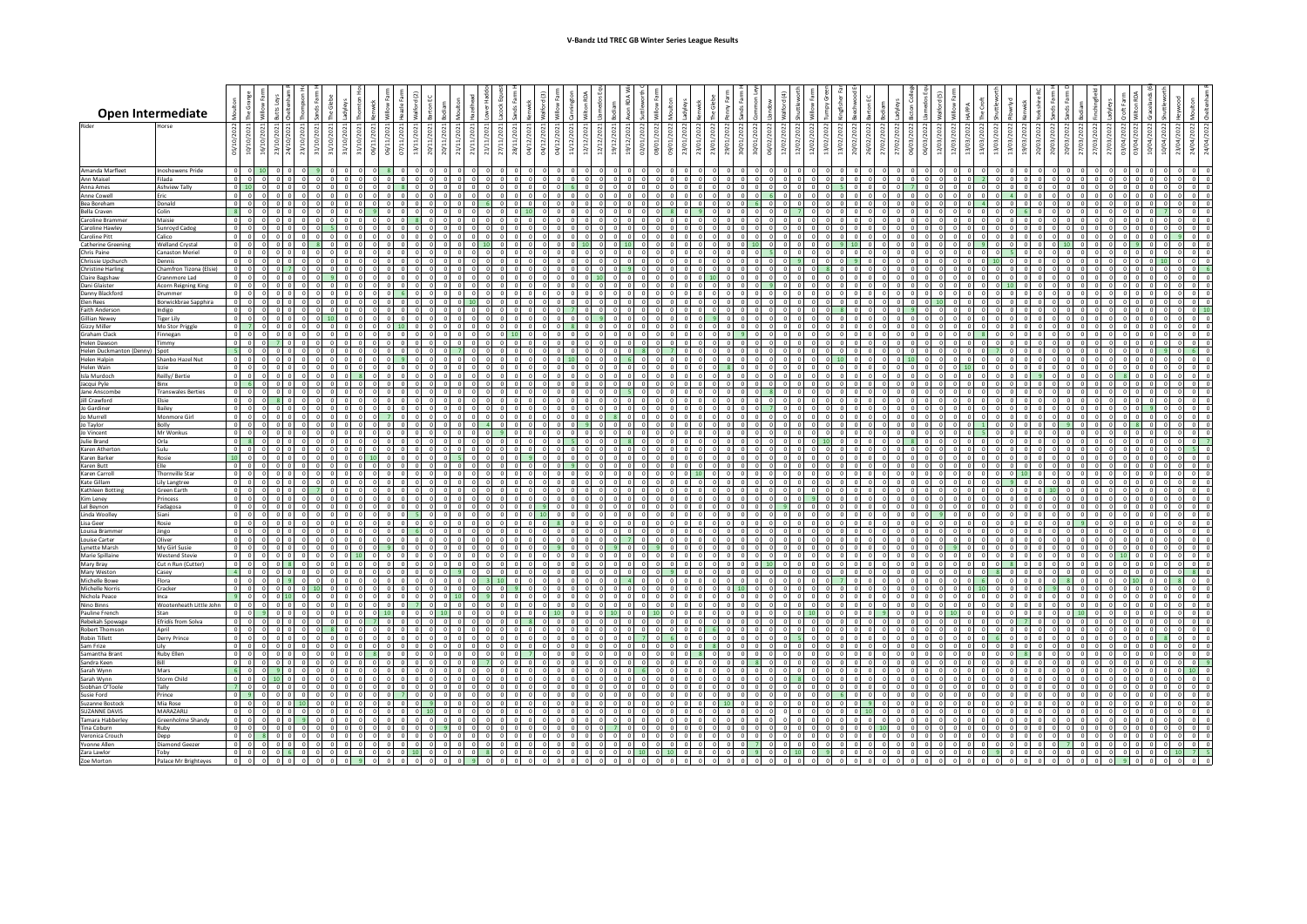|                                          | <b>Open Intermediate</b>                    |                                                 |                                |          |                                                          |           |                           |            |    |                         |                              |            |          |       |            |         |                    |  |            |  |          |         |                         |  |            |  |            |         |         |          |                |                            |     |  |  |
|------------------------------------------|---------------------------------------------|-------------------------------------------------|--------------------------------|----------|----------------------------------------------------------|-----------|---------------------------|------------|----|-------------------------|------------------------------|------------|----------|-------|------------|---------|--------------------|--|------------|--|----------|---------|-------------------------|--|------------|--|------------|---------|---------|----------|----------------|----------------------------|-----|--|--|
| Rider                                    | <b>Anrse</b>                                | $^{022}$<br>05/10/2                             | 6/10/2021                      |          |                                                          | 11/10/202 | 1/10/202<br>31/10/        | 06/11/2021 | 51 |                         |                              | š<br>21/1  | 5        | 04/12 | 34/12      |         | 12/12/2021<br>2/12 |  | Š.         |  |          | 16/02/2 |                         |  |            |  | ğ          | ξ.      |         |          |                | 7/03/2022                  |     |  |  |
| Amanda Marfleet                          | Inoshowens Pride                            | $\circ$                                         |                                |          |                                                          |           |                           |            |    |                         |                              |            |          |       |            |         |                    |  |            |  |          |         |                         |  |            |  |            |         |         |          |                |                            |     |  |  |
| <b>Ann Maisel</b><br>Anna Ames           | Filada<br><b>Ashview Tally</b>              | $0 \vert 10 \vert$                              | 0 0 0                          |          |                                                          |           |                           |            |    |                         |                              |            |          |       |            |         |                    |  |            |  |          |         |                         |  |            |  |            |         |         |          |                |                            |     |  |  |
| Anne Cowell                              | Eric                                        | 0 <sup>1</sup>                                  | $\Omega$                       |          |                                                          |           |                           |            |    |                         |                              | $\Omega$   |          |       |            |         |                    |  |            |  |          |         |                         |  |            |  |            |         |         |          |                |                            |     |  |  |
| Bea Boreham<br>Bella Craven              | Donald<br>Colin                             | $\sim$<br>- s l                                 | $\Omega$                       |          |                                                          |           |                           |            |    |                         |                              |            |          |       |            |         |                    |  |            |  |          |         |                         |  |            |  |            |         |         |          |                |                            |     |  |  |
| Caroline Brammer                         | Maisie                                      | $ 0 $ $ 0 $                                     |                                |          |                                                          |           |                           |            |    |                         |                              |            |          |       |            |         |                    |  |            |  |          |         |                         |  |            |  |            |         |         |          |                |                            |     |  |  |
| Caroline Hawley<br>Caroline Pitt         | Sunroyd Cadog<br>Calico                     | $\circ$                                         | 0 0 0<br>- 01                  |          | $\sim$                                                   |           |                           |            |    |                         |                              | $\Omega$   | $\sim$   |       |            |         |                    |  | $\Omega$   |  | n I      |         |                         |  |            |  |            |         |         | $\sim$   |                | $\sim$                     |     |  |  |
| <b>Catherine Greening</b>                | <b>Welland Crystal</b>                      | - o l                                           |                                |          |                                                          |           |                           |            |    |                         |                              |            |          |       |            |         |                    |  |            |  |          |         |                         |  |            |  |            |         |         |          |                |                            |     |  |  |
| Chris Paine<br>Chrissie Upchurch         | <b>Canaston Meriel</b><br>Dennis            | $0$ 0                                           | $0\quad 0\quad 0$              |          |                                                          |           |                           |            |    |                         |                              | $\Omega$   |          |       |            |         |                    |  |            |  |          |         |                         |  |            |  |            |         |         |          |                | $\Omega$                   |     |  |  |
| <b>Christine Harling</b>                 | Chamfron Tizona (Elsie)                     | $\sim$                                          | $\Omega$                       |          |                                                          |           |                           |            |    |                         |                              |            | $\Omega$ |       |            |         |                    |  |            |  |          |         |                         |  |            |  |            |         |         |          |                |                            |     |  |  |
| Claire Bagshaw<br>Dani Glaister          | Crannmore Lad<br><b>Acorn Reigning King</b> |                                                 | $00$ $00$                      |          |                                                          |           |                           |            |    |                         |                              |            |          |       |            |         |                    |  |            |  |          |         |                         |  |            |  |            |         |         |          |                | $\sqrt{2}$                 |     |  |  |
| Danny Blackford                          | Drummer                                     | $\sim$                                          | $\Omega$                       |          |                                                          |           |                           |            |    |                         |                              |            |          |       |            |         |                    |  |            |  |          |         |                         |  |            |  |            |         |         |          |                |                            |     |  |  |
| Elen Rees<br><b>Faith Anderson</b>       | Borwickbrae Sapphira                        | $\circ$                                         | $0 \quad 0 \quad 0$<br>$\circ$ |          |                                                          |           |                           |            |    |                         |                              |            |          |       |            |         |                    |  |            |  |          |         |                         |  |            |  |            |         |         |          |                | $\Omega$                   |     |  |  |
| <b>Gillian Newey</b>                     | Indigo<br>Tiger Lily                        | $0$ 0                                           |                                |          |                                                          |           |                           |            |    |                         |                              |            |          |       |            |         |                    |  |            |  |          |         |                         |  |            |  |            |         |         |          |                |                            |     |  |  |
| <b>Gizzy Miller</b><br>Graham Clack      | Mo Stor Priggle<br>Finnegan                 | $\overline{\phantom{a}}$                        | $0$ 0 0                        |          |                                                          |           |                           |            |    |                         |                              |            |          |       |            |         |                    |  |            |  |          |         |                         |  |            |  |            |         |         |          |                |                            |     |  |  |
| <b>Helen Dawson</b>                      | immy                                        | $\circ$ $\circ$ $\circ$                         |                                |          |                                                          |           |                           | $\Omega$   |    |                         |                              | $\Omega$   |          |       |            |         |                    |  |            |  |          |         |                         |  |            |  |            |         |         |          |                |                            |     |  |  |
| Helen Duckmanton (Denny)                 | Spot                                        | l ol ol                                         |                                |          |                                                          |           |                           |            |    |                         |                              |            |          |       |            |         |                    |  |            |  |          |         |                         |  |            |  |            |         |         |          |                |                            |     |  |  |
| <b>Helen Halpin</b><br><b>Helen Wain</b> | Shanbo Hazel Nut<br>Izzie                   | $0$ 0                                           |                                |          |                                                          |           |                           |            |    |                         |                              |            |          |       |            |         |                    |  |            |  |          |         |                         |  |            |  |            |         |         |          |                |                            |     |  |  |
| Isla Murdoch                             | Reilly/Bertie<br>Rinx                       | $\circ$                                         | $0$ 0 0                        |          | $\sim$                                                   |           |                           |            |    |                         |                              |            |          |       |            |         |                    |  |            |  |          |         |                         |  |            |  |            |         |         |          |                | $\sim$                     |     |  |  |
| Jacqui Pyle<br>Jane Anscomb              | <b>Transwales Berties</b>                   | $\sim$                                          |                                |          |                                                          |           |                           |            |    |                         |                              |            |          |       |            |         |                    |  |            |  |          |         |                         |  |            |  |            |         |         |          |                |                            |     |  |  |
| Jill Crawford                            | Fisie                                       | o ol                                            | $0 \quad 0 \quad 0$            |          | $\Omega$                                                 |           | $\Omega$<br>$\Omega$      | $^{\circ}$ |    |                         |                              | $\Omega$   |          |       |            |         |                    |  | $\Omega$   |  | $\Omega$ |         |                         |  |            |  |            |         |         | $\Omega$ |                | $\Omega$                   |     |  |  |
| Jo Gardiner<br>Jo Murrell                | Bailey<br>Monmore Girl                      |                                                 | $0 \quad 0 \quad 0$            |          |                                                          |           |                           |            |    |                         |                              |            | $\Omega$ |       |            |         |                    |  |            |  |          |         |                         |  |            |  |            |         |         |          |                |                            |     |  |  |
| Jo Taylor                                | Bolly                                       | $\sim$<br>$\sim$                                |                                |          |                                                          |           |                           |            |    |                         |                              |            |          |       |            |         |                    |  |            |  |          |         |                         |  |            |  |            |         |         |          |                |                            |     |  |  |
| Jo Vincent<br>Julie Brand                | Mr Wonkus<br>Orla                           | $\overline{\bullet}$                            |                                |          |                                                          |           |                           |            |    |                         |                              |            |          |       |            |         |                    |  |            |  |          |         |                         |  |            |  |            |         |         |          |                |                            |     |  |  |
| Karen Atherton                           | Sulu                                        |                                                 | $0 \quad 0 \quad 0$            |          |                                                          |           |                           |            |    |                         |                              |            |          |       |            |         |                    |  |            |  |          |         |                         |  |            |  |            |         |         |          |                |                            |     |  |  |
| Karen Barker<br>Karen Butt               | Rosie<br>Elle                               | 10<br>$\circ$                                   | $\Omega$                       |          |                                                          |           |                           |            |    |                         |                              | $^{\circ}$ |          |       |            |         |                    |  |            |  |          |         |                         |  |            |  |            |         |         |          |                |                            |     |  |  |
| Karen Carroll                            | <b>Thornville Star</b>                      | $\overline{\phantom{a}}$                        | n I                            |          |                                                          |           |                           |            |    |                         |                              |            |          |       |            |         |                    |  |            |  |          |         |                         |  |            |  |            |         |         |          |                |                            |     |  |  |
| Kate Gillam<br>Kathleen Botting          | Lily Langtree<br>Green Earth                | $0$ 0                                           | 0000                           |          |                                                          |           |                           | $\circ$    |    |                         |                              |            | $\Omega$ |       |            |         |                    |  | $^{\circ}$ |  | $\Omega$ |         |                         |  |            |  |            |         |         |          |                |                            |     |  |  |
| Kim Leney                                | Princess                                    | $\Omega$                                        |                                |          |                                                          |           |                           |            |    |                         |                              |            |          |       |            |         |                    |  |            |  |          |         |                         |  |            |  |            |         |         |          |                |                            |     |  |  |
| Lel Beynon<br>Linda Woolley              | adagosa<br>Siani                            | $\Omega$<br>$0$ 0                               |                                | $\Omega$ |                                                          |           |                           |            |    |                         |                              |            |          |       |            |         |                    |  | $\Omega$   |  |          |         |                         |  |            |  |            |         |         |          |                |                            |     |  |  |
| Lisa Geer                                | Rosie                                       | $0$ 0                                           |                                |          |                                                          |           |                           |            |    |                         |                              |            |          |       |            |         |                    |  |            |  |          |         |                         |  |            |  |            |         |         |          |                |                            |     |  |  |
| Louisa Brammer<br>Louise Carter          | Jingo<br>Oliver                             | $0$ 0<br>0 <sup>1</sup>                         | $\Omega$                       |          |                                                          |           |                           |            |    |                         |                              |            |          |       |            |         |                    |  |            |  |          |         |                         |  |            |  |            |         |         |          |                |                            |     |  |  |
| <b>Lynette Marsh</b>                     | My Girl Susie                               | $\bullet$                                       |                                |          |                                                          |           |                           |            |    |                         |                              |            |          |       |            |         |                    |  |            |  |          |         |                         |  |            |  |            |         |         |          |                |                            |     |  |  |
| Marie Spillaine<br>Mary Bray             | <b>Westend Stevie</b><br>Cut n Run (Cutter) | $0$ 0<br>$0$ 0                                  |                                |          |                                                          |           |                           |            |    |                         |                              |            |          |       |            |         |                    |  |            |  |          |         |                         |  |            |  |            |         |         |          |                |                            |     |  |  |
| Mary Weston                              | Casey                                       | $\overline{A}$                                  |                                |          |                                                          |           |                           |            |    |                         |                              |            |          |       |            |         |                    |  |            |  |          |         |                         |  |            |  |            |         |         |          |                |                            |     |  |  |
| Michelle Bowe<br><b>Michelle Norris</b>  | Flora<br>Cracker                            | $\sim$<br>$\overline{0}$                        | $\Omega$                       |          |                                                          |           |                           |            |    |                         |                              |            |          |       |            |         |                    |  |            |  |          |         |                         |  |            |  |            |         |         |          |                |                            |     |  |  |
| Nichola Peace                            | Inca                                        | 900                                             |                                |          |                                                          |           |                           |            |    |                         |                              |            |          |       |            |         |                    |  |            |  |          |         |                         |  |            |  |            |         |         |          |                |                            |     |  |  |
| Nino Binns<br>Pauline French             | Wootenheath Little John 0 0 0<br>Stan       |                                                 |                                |          | $\Omega$                                                 |           |                           |            |    |                         |                              |            | $\Omega$ |       |            |         |                    |  |            |  |          |         |                         |  |            |  |            |         |         |          |                | $\Omega$                   |     |  |  |
| Rebekah Spowage                          | Efridís from Solva                          | n I                                             |                                |          |                                                          |           |                           |            |    |                         |                              |            |          |       |            |         |                    |  |            |  |          |         |                         |  |            |  |            |         |         |          |                |                            |     |  |  |
| Robert Thomson<br>Robin Tillett          | Anril<br>Derry Prince                       | $0$ 0                                           | $0 \t 0 \t 0$                  |          |                                                          |           |                           |            |    |                         |                              |            |          |       |            |         |                    |  |            |  |          |         |                         |  |            |  |            |         |         |          |                |                            |     |  |  |
| Sam Frize                                | Lily                                        | $\sim$                                          | $\Omega$                       |          |                                                          |           |                           |            |    |                         |                              |            |          |       |            |         |                    |  |            |  |          |         |                         |  |            |  |            |         |         |          |                |                            |     |  |  |
| Samantha Brant                           | Ruby Ellen<br>Rill                          | റ പ                                             |                                |          |                                                          |           |                           |            |    |                         |                              |            |          |       |            |         |                    |  |            |  |          |         |                         |  |            |  |            |         |         |          |                |                            |     |  |  |
| Sandra Keen<br>Sarah Wynn                | Mars                                        | 600                                             |                                |          |                                                          |           |                           |            |    |                         |                              |            |          |       |            |         |                    |  |            |  |          |         |                         |  |            |  |            |         |         |          |                |                            |     |  |  |
| Sarah Wynn<br>Siobhan O'Toole            | Storm Child                                 | $ 0 $ $ 0 $                                     |                                |          |                                                          |           |                           | $\sqrt{2}$ |    |                         |                              |            |          |       |            |         |                    |  |            |  |          |         |                         |  |            |  |            |         |         |          |                |                            |     |  |  |
| <b>Susie Ford</b>                        | Tally<br>Prince                             | $\overline{7}$<br>$\circ$                       |                                |          |                                                          |           |                           |            |    |                         |                              |            |          |       |            |         |                    |  |            |  |          |         |                         |  |            |  |            |         |         |          |                |                            |     |  |  |
| Suzanne Bostock                          | Mia Rose                                    | $0$ 0                                           |                                | 0110     |                                                          |           |                           |            |    |                         |                              |            |          |       |            |         |                    |  |            |  | $\Omega$ |         |                         |  |            |  |            |         |         |          |                |                            |     |  |  |
| SUZANNE DAVIS<br>Tamara Habberley        | MARAZARLI<br>Greenholme Shandy              | $0$ 0<br>$\begin{array}{c c} 0 & 0 \end{array}$ |                                |          |                                                          |           |                           |            |    |                         |                              | $\bigcap$  |          |       |            |         |                    |  |            |  |          |         |                         |  |            |  |            |         |         |          |                |                            |     |  |  |
| Tina Coburn                              | Ruby                                        |                                                 |                                |          |                                                          |           |                           |            |    |                         |                              |            |          |       |            |         |                    |  |            |  |          |         |                         |  |            |  |            |         |         |          |                |                            |     |  |  |
| Veronica Crouch<br>Yvonne Allen          | Depp<br><b>Diamond Geezer</b>               | $0$ $0$                                         | 0 0 0                          | $\sim$   | 0 <sub>0</sub><br>$0$ $0$ $0$                            |           |                           |            |    |                         |                              |            |          |       |            |         |                    |  |            |  |          |         |                         |  |            |  |            |         |         | $\circ$  |                | n I<br>$\circ$<br>$\Omega$ |     |  |  |
| Zara Lawlor                              | Toby                                        |                                                 | $0$ 0 0                        |          | $0$ 6 0 0 0                                              |           | $\circ$<br>$\overline{0}$ | $\circ$    |    |                         | $0 \quad 10 \quad 0 \quad 0$ |            | $\circ$  |       | $^{\circ}$ |         | $\circ$            |  |            |  | $0$ 9    |         | $0 \t 0 \t 10$          |  | $^{\circ}$ |  | $^{\circ}$ | -91     | $\circ$ |          | $0$ 0          | $0$ 0                      | 0 0 |  |  |
| Zoe Morton                               | Palace Mr Brighteyes                        |                                                 | $0 \quad 0 \quad 0$            |          | $\begin{array}{ccccccc}\n0 & 0 & 0 & 0 & 0\n\end{array}$ |           | $\circ$                   | $\circ$    |    | $\overline{\mathbf{0}}$ | $\circ$                      |            |          |       |            | $\circ$ |                    |  |            |  | $\circ$  | $\circ$ | $\circ$ $\circ$ $\circ$ |  |            |  | $^{\circ}$ | $\circ$ |         | $\circ$  | $\overline{0}$ | $\circ$<br>$^{\circ}$      |     |  |  |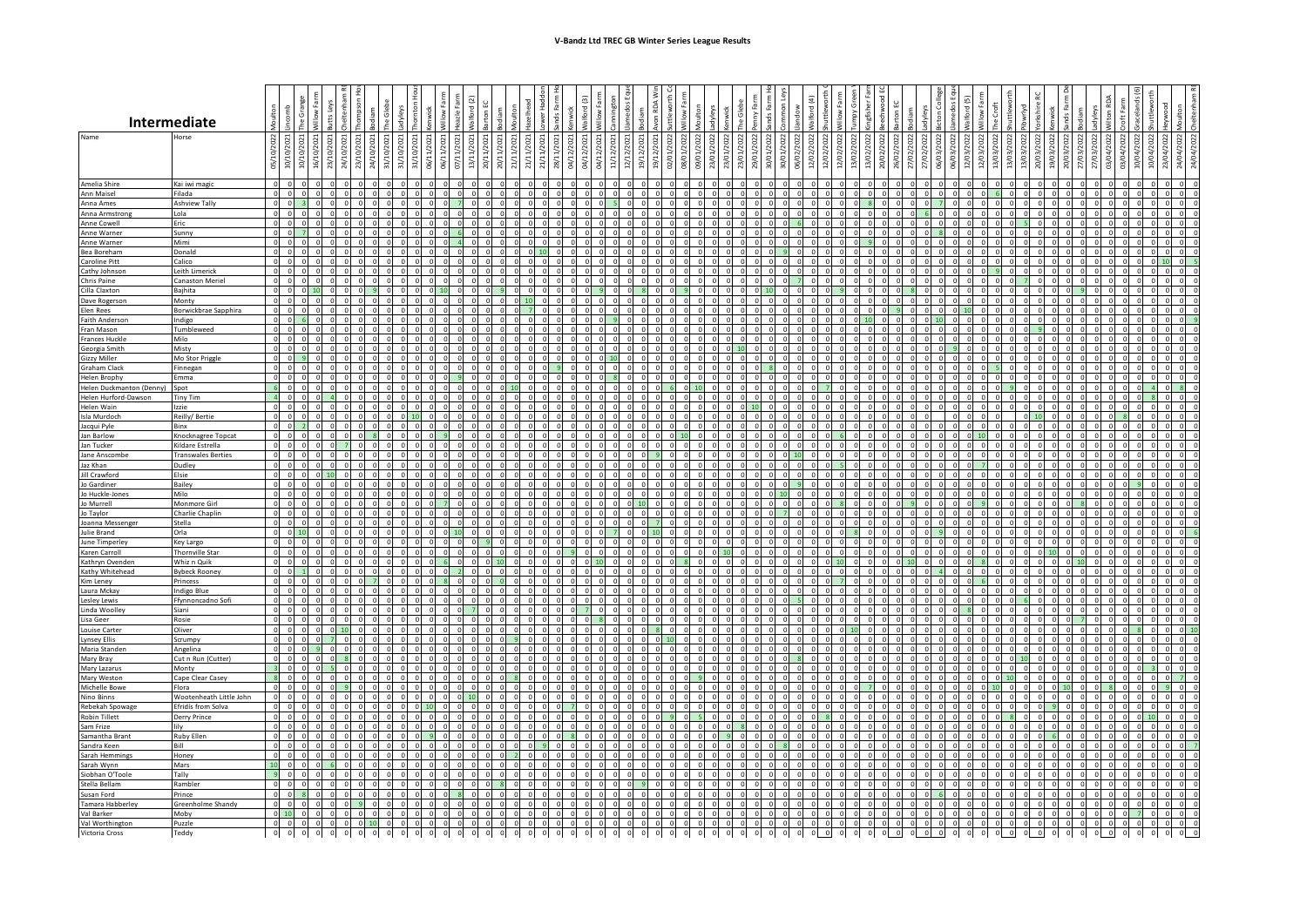|                                         | <b>Intermediate</b>                           |                                        |            |                      |                                                                      |       |                          |                           |             |             |                    |                           |                      |       |            |                     |    |            |       |        |             |       |         |        |        |            |           |                    |         |                 |                        |        |            |  |                    |                 |          |          |         |           |          |        |              |  |  |
|-----------------------------------------|-----------------------------------------------|----------------------------------------|------------|----------------------|----------------------------------------------------------------------|-------|--------------------------|---------------------------|-------------|-------------|--------------------|---------------------------|----------------------|-------|------------|---------------------|----|------------|-------|--------|-------------|-------|---------|--------|--------|------------|-----------|--------------------|---------|-----------------|------------------------|--------|------------|--|--------------------|-----------------|----------|----------|---------|-----------|----------|--------|--------------|--|--|
| Name                                    | lorse                                         | 05/10/2022                             | 10/10/     | 10/10<br>₫<br>खे     | ុទ្<br>23/                                                           | । ब्र | 23/10/2021<br>24/10/2021 | 31/10/202                 | 31/10/      | 31/10/      | E<br>ΞI<br>ဧါ      | 13/11/2021<br>20/11/      | 20/11/202            | 21/11 | 21/11/2021 |                     | E, | 04/12/2021 | 11/12 | $\sim$ | 19/12       | 19/12 |         | ā<br>g | 23/01/ | 23/01/20   | 29/01/202 | ਡੰ<br>5            |         | 12/02/          | 13/02/<br>13/02        | 20/02, | 26/02/2022 |  | 12/03              | 12/03/          | 13/03    |          |         | 3         | 03/04/   | 03/04/ | ð<br>c.<br>ੁ |  |  |
| Amelia Shire                            | Kai iwi magic                                 | $\Omega$                               |            |                      |                                                                      |       |                          |                           |             |             |                    |                           |                      |       |            |                     |    |            |       |        |             |       |         |        |        |            |           |                    |         |                 |                        |        |            |  |                    |                 |          |          |         |           |          |        |              |  |  |
| Ann Maisel                              | Filada                                        | $\Omega$<br>- 0                        |            |                      |                                                                      |       |                          |                           |             |             |                    |                           |                      |       |            |                     |    |            |       |        |             |       |         |        |        |            |           |                    |         |                 |                        |        |            |  |                    |                 |          |          |         |           |          |        |              |  |  |
| Anna Ames<br>Anna Armstrong             | <b>Ashview Tally</b><br>Lola                  |                                        |            |                      |                                                                      |       |                          |                           |             |             |                    |                           |                      |       |            |                     |    |            |       |        |             |       |         |        |        |            |           |                    |         |                 |                        |        |            |  |                    |                 |          |          |         |           |          |        |              |  |  |
| <b>Anne Cowell</b>                      | Eric                                          |                                        |            |                      |                                                                      |       |                          |                           |             |             |                    |                           |                      |       |            |                     |    |            |       |        |             |       |         |        |        |            |           |                    |         |                 |                        |        |            |  |                    |                 |          |          |         |           |          |        |              |  |  |
| Anne Warner<br>Anne Warner              | Sunny<br>Mimi                                 | $\circ$<br>$\overline{0}$              |            |                      |                                                                      |       |                          |                           |             |             |                    |                           |                      |       |            |                     |    |            |       |        |             |       |         |        |        |            |           |                    |         |                 |                        |        |            |  |                    |                 |          |          |         |           |          |        |              |  |  |
| Bea Boreham                             | Donald                                        |                                        |            |                      |                                                                      |       |                          |                           |             |             |                    |                           |                      |       |            |                     |    |            |       |        |             |       |         |        |        |            |           |                    |         |                 |                        |        |            |  |                    |                 |          |          |         |           |          |        |              |  |  |
| Caroline Pitt<br>Cathy Johnson          | alico<br>Leith Limerick                       | $\sqrt{2}$<br>$\Omega$                 |            | $\Omega$             |                                                                      |       |                          |                           |             |             |                    |                           |                      |       |            |                     |    |            |       |        |             |       |         |        |        |            |           |                    |         |                 |                        |        |            |  |                    |                 |          |          |         |           |          |        |              |  |  |
| Chris Paine                             | Canaston Meriel                               | $\overline{0}$                         |            | $\Omega$             |                                                                      |       |                          |                           |             |             |                    |                           |                      |       |            |                     |    |            |       |        |             |       |         |        |        |            |           |                    |         |                 |                        |        |            |  |                    |                 |          |          |         |           |          |        |              |  |  |
| Cilla Claxton                           | Bajhita                                       | $\Omega$                               |            |                      |                                                                      |       |                          |                           |             |             |                    |                           |                      |       |            |                     |    |            |       |        |             |       |         |        |        |            |           |                    |         |                 |                        |        |            |  |                    |                 |          |          |         |           |          |        |              |  |  |
| Dave Rogerson<br>Elen Rees              | Monty<br>Borwickbrae Sapphira                 | $\Omega$<br>$\circ$                    |            | $\Omega$             |                                                                      |       |                          |                           |             |             |                    | 0 <sub>0</sub>            | $\sqrt{2}$           |       | $\Omega$   |                     |    |            |       |        | $\sqrt{2}$  |       |         |        |        |            |           |                    |         |                 | $\sqrt{ }$             |        |            |  | 10                 |                 |          |          |         |           |          |        |              |  |  |
| Faith Anderson                          | Indigo                                        |                                        |            |                      |                                                                      |       |                          |                           |             |             |                    |                           |                      |       |            |                     |    |            |       |        |             |       |         |        |        |            |           |                    |         |                 |                        |        |            |  |                    |                 |          |          |         |           |          |        |              |  |  |
| Fran Mason<br><b>Frances Huckle</b>     | Tumbleweed<br>Milo                            | $\overline{0}$                         |            |                      |                                                                      |       |                          |                           |             |             |                    |                           |                      |       |            |                     |    |            |       |        |             |       |         |        |        |            |           |                    |         |                 |                        |        |            |  |                    |                 |          |          |         |           |          |        |              |  |  |
| Georgia Smith                           | Misty                                         | $\overline{\mathbf{0}}$                | $\sqrt{ }$ |                      |                                                                      |       |                          |                           |             |             |                    |                           |                      |       |            |                     |    |            |       |        |             |       |         |        |        |            |           |                    |         |                 | $\sqrt{ }$             |        |            |  |                    |                 |          |          |         |           |          |        |              |  |  |
| <b>Gizzy Miller</b>                     | Mo Stor Priggle                               | $\overline{0}$                         |            |                      |                                                                      |       |                          |                           |             |             |                    |                           |                      |       |            |                     |    |            |       |        |             |       |         |        |        |            |           |                    |         |                 |                        |        |            |  |                    |                 |          |          |         |           |          |        |              |  |  |
| <b>Graham Clack</b><br>Helen Brophy     | Finnegan<br>Emma                              |                                        |            |                      |                                                                      |       |                          |                           |             |             |                    |                           |                      |       |            |                     |    |            |       |        |             |       |         |        |        |            |           |                    |         |                 |                        |        |            |  |                    |                 |          |          |         |           |          |        |              |  |  |
| Helen Duckmanton (Denny)                | Spot                                          |                                        |            |                      |                                                                      |       |                          |                           |             |             |                    |                           |                      |       |            |                     |    |            |       |        |             |       |         |        |        |            |           |                    |         |                 |                        |        |            |  |                    |                 |          |          |         |           |          |        |              |  |  |
| Helen Hurford-Dawson<br>Helen Wain      | Tiny Tim<br>Izzie                             | $\overline{a}$<br>$\circ$              |            |                      |                                                                      |       |                          |                           |             |             |                    |                           |                      |       |            |                     |    |            |       |        |             |       |         |        |        |            |           |                    |         |                 |                        |        |            |  |                    |                 |          |          |         |           |          |        |              |  |  |
| <b>Isla Murdoch</b>                     | Reilly/Bertie                                 |                                        |            |                      |                                                                      |       |                          |                           |             |             |                    |                           |                      |       |            |                     |    |            |       |        |             |       |         |        |        |            |           |                    |         |                 |                        |        |            |  |                    |                 |          |          |         |           |          |        |              |  |  |
| Jacqui Pyle                             | Binx                                          | $\overline{\phantom{a}}$<br>$\sqrt{2}$ | $\sqrt{2}$ | $\overline{2}$       |                                                                      |       |                          |                           |             |             |                    |                           |                      |       |            |                     |    |            |       |        |             |       |         |        |        |            |           |                    |         |                 |                        |        |            |  |                    |                 |          |          |         |           |          |        |              |  |  |
| Jan Barlow<br>Jan Tucker                | Knocknagree Topcat<br>Kildare Estrella        | $\sqrt{ }$                             | $\Omega$   | $\Omega$<br>$\Omega$ |                                                                      |       |                          |                           |             |             |                    |                           | $\Omega$<br>$\Omega$ |       |            |                     |    |            |       |        |             |       |         |        |        |            |           |                    |         |                 | $\sqrt{2}$<br>$\Omega$ |        |            |  |                    | 0 <sup>16</sup> |          |          |         |           |          |        |              |  |  |
| Jane Anscombe                           | <b>Transwales Berties</b>                     |                                        |            |                      |                                                                      |       |                          |                           |             |             |                    |                           |                      |       |            |                     |    |            |       |        |             |       |         |        |        |            |           |                    |         |                 |                        |        |            |  |                    |                 |          |          |         |           |          |        |              |  |  |
| Jaz Khan<br>Jill Crawford               | Dudley<br>Elsie                               | $\circ$<br>$\circ$                     | $\Omega$   |                      |                                                                      |       |                          |                           |             |             |                    |                           |                      |       |            |                     |    |            |       |        | $\Omega$    |       |         |        |        |            |           |                    |         |                 | $\Omega$               |        |            |  |                    |                 |          |          |         |           |          |        |              |  |  |
| Jo Gardiner                             | Bailey                                        | $\circ$                                | $\Omega$   | $\Omega$             |                                                                      |       |                          |                           |             |             |                    |                           |                      |       |            |                     |    |            |       |        |             |       |         |        |        |            |           |                    |         |                 |                        |        |            |  |                    |                 |          |          |         |           |          |        |              |  |  |
| Jo Huckle-Jones                         | Milo                                          | $\overline{0}$                         |            |                      |                                                                      |       |                          |                           |             |             |                    |                           |                      |       |            |                     |    |            |       |        |             |       |         |        |        |            |           |                    |         |                 |                        |        |            |  |                    |                 |          |          |         |           |          |        |              |  |  |
| Jo Murrell<br>Jo Taylor                 | Monmore Girl<br>Charlie Chaplin               | $\Omega$                               |            |                      |                                                                      |       |                          |                           |             |             |                    |                           |                      |       |            |                     |    |            |       |        |             |       |         |        |        |            |           |                    |         |                 |                        |        |            |  |                    |                 |          |          |         |           |          |        |              |  |  |
| Joanna Messenge                         | Stella                                        |                                        |            |                      |                                                                      |       |                          |                           |             |             |                    |                           |                      |       |            |                     |    |            |       |        |             |       |         |        |        |            |           |                    |         |                 |                        |        |            |  |                    |                 |          |          |         |           |          |        |              |  |  |
| <b>Julie Brand</b><br>June Timperley    | Orla<br>Key Largo                             | $\circ$                                |            |                      |                                                                      |       |                          |                           |             |             |                    |                           |                      |       |            |                     |    |            |       |        |             |       |         |        |        |            |           |                    |         |                 |                        |        |            |  |                    |                 |          |          |         |           |          |        |              |  |  |
| Karen Carroll                           | <b>Thornville Star</b>                        | $\overline{0}$                         |            |                      |                                                                      |       |                          |                           |             |             |                    |                           |                      |       |            |                     |    |            |       |        |             |       |         |        |        |            |           |                    |         |                 |                        |        |            |  |                    |                 |          |          |         |           |          |        |              |  |  |
| Kathryn Ovenden<br>Kathy Whitehead      | Whiz n Quik<br><b>Bybeck Rooney</b>           | $\Omega$                               |            |                      |                                                                      |       |                          |                           |             |             |                    |                           |                      |       |            |                     |    |            |       |        |             |       |         |        |        |            |           |                    |         |                 |                        |        |            |  |                    |                 |          |          |         |           |          |        |              |  |  |
| Kim Leney                               | Princess                                      | $\Omega$                               |            |                      |                                                                      |       |                          |                           |             |             |                    |                           |                      |       |            |                     |    |            |       |        |             |       |         |        |        |            |           |                    |         |                 |                        |        |            |  |                    |                 |          |          |         |           |          |        |              |  |  |
| Laura Mckay                             | Indigo Blue                                   | $\overline{0}$                         | $\sqrt{2}$ | $\Omega$             |                                                                      |       |                          |                           |             |             |                    |                           |                      |       |            |                     |    |            |       |        |             |       |         |        |        |            |           |                    |         |                 |                        |        |            |  |                    |                 |          |          |         |           |          |        |              |  |  |
| Lesley Lewis<br>Linda Woolley           | Ffynnoncadno Sofi<br>Siani                    |                                        |            |                      |                                                                      |       |                          |                           |             |             |                    |                           |                      |       |            |                     |    |            |       |        |             |       |         |        |        |            |           |                    |         |                 |                        |        |            |  |                    |                 |          |          |         |           |          |        |              |  |  |
| Lisa Geer                               | Rosie                                         | $\circ$                                |            |                      |                                                                      |       |                          |                           |             |             |                    |                           |                      |       |            |                     |    |            |       |        |             |       |         |        |        |            |           |                    |         |                 |                        |        |            |  |                    |                 |          |          |         |           |          |        |              |  |  |
| Louise Carter                           | Oliver                                        | $\circ$<br>$\Omega$                    | $\sqrt{ }$ |                      |                                                                      |       |                          |                           |             |             |                    |                           |                      |       |            |                     |    |            |       |        |             |       |         |        |        |            |           |                    |         | 0 <sup>10</sup> |                        |        |            |  |                    |                 |          |          |         |           |          |        |              |  |  |
| <b>Lynsey Ellis</b><br>Maria Stander    | Scrumpy<br>Angelina                           |                                        |            |                      |                                                                      |       |                          |                           |             |             |                    |                           |                      |       |            |                     |    |            |       |        |             |       |         |        |        |            |           |                    |         |                 |                        |        |            |  |                    |                 |          |          |         |           |          |        |              |  |  |
| Mary Bray                               | Cut n Run (Cutter)                            | э.                                     |            |                      |                                                                      |       |                          |                           |             |             |                    |                           |                      |       |            |                     |    |            |       |        |             |       |         |        |        |            |           |                    |         |                 |                        |        |            |  |                    |                 |          |          |         |           |          |        |              |  |  |
| Mary Lazarus<br>Mary Weston             | Monty<br>Cape Clear Casev                     |                                        |            |                      |                                                                      |       |                          |                           |             |             |                    |                           |                      |       |            |                     |    |            |       |        |             |       |         |        |        |            |           |                    |         |                 |                        |        |            |  |                    |                 |          |          |         |           |          |        |              |  |  |
| Michelle Bowe                           | Flora                                         |                                        |            |                      |                                                                      |       |                          |                           |             |             |                    |                           |                      |       |            |                     |    |            |       |        |             |       |         |        |        |            |           |                    |         |                 |                        |        |            |  |                    |                 |          |          |         |           |          |        |              |  |  |
| Nino Binns                              | Wootenheath Little John<br>Efridís from Solva | $\circ$                                | $\sqrt{2}$ |                      |                                                                      |       |                          |                           |             |             |                    | $\sqrt{2}$                |                      |       |            |                     |    |            |       |        |             |       |         |        |        |            |           |                    |         |                 |                        |        |            |  |                    |                 |          |          |         |           |          |        |              |  |  |
| Rebekah Spowage<br><b>Robin Tillett</b> | Derry Prince                                  | $\circ$<br>$\Omega$                    |            |                      |                                                                      |       |                          |                           |             |             |                    |                           |                      |       |            |                     |    |            |       |        |             |       |         |        |        |            |           |                    |         |                 |                        |        |            |  |                    |                 |          |          |         |           |          |        |              |  |  |
| Sam Frize                               | ilv                                           |                                        |            |                      |                                                                      |       |                          |                           |             |             |                    |                           |                      |       |            |                     |    |            |       |        |             |       |         |        |        |            |           |                    |         |                 |                        |        |            |  |                    |                 |          |          |         |           |          |        |              |  |  |
| Samantha Brant<br>Sandra Keen           | Ruby Ellen<br>Rill                            | $\overline{\phantom{a}}$<br>$\sqrt{2}$ |            |                      |                                                                      |       |                          |                           |             |             |                    |                           |                      |       |            |                     |    |            |       |        |             |       |         |        |        |            |           |                    |         |                 |                        |        |            |  |                    |                 |          |          |         |           |          |        |              |  |  |
| Sarah Hemming                           | Honey                                         |                                        |            |                      |                                                                      |       |                          |                           |             |             |                    |                           |                      |       |            |                     |    |            |       |        |             |       |         |        |        |            |           |                    |         |                 |                        |        |            |  |                    |                 |          |          |         |           |          |        |              |  |  |
| Sarah Wynn                              | Mars                                          | 10                                     |            |                      |                                                                      |       |                          |                           |             |             |                    |                           |                      |       |            |                     |    |            |       |        |             |       |         |        |        |            |           |                    |         |                 |                        |        |            |  |                    |                 |          |          |         |           |          |        |              |  |  |
| Siobhan O'Toole<br>Stella Bellam        | Tally<br>Rambler                              | $\circ$                                | $\sqrt{ }$ |                      |                                                                      |       |                          |                           |             |             |                    |                           | $\sqrt{ }$           |       | $\circ$    |                     |    |            |       |        |             |       |         |        |        | $\sqrt{2}$ |           |                    |         |                 | $\Omega$               |        | $\Omega$   |  | $\Omega$           | $\sqrt{2}$      |          |          |         |           |          |        |              |  |  |
| Susan Ford                              | Prince                                        | $\Omega$                               |            |                      |                                                                      |       |                          |                           |             |             |                    |                           |                      |       |            |                     |    |            |       |        |             |       |         |        |        |            |           |                    |         |                 |                        |        |            |  |                    |                 |          |          |         |           |          |        |              |  |  |
| Tamara Habberley<br>Val Barker          | Greenholme Shandy<br>Moby                     | $0$ 1                                  |            |                      |                                                                      |       |                          |                           |             |             |                    |                           |                      |       |            |                     |    |            |       |        |             |       |         |        |        |            |           |                    |         |                 |                        |        |            |  |                    |                 |          |          |         |           |          |        |              |  |  |
| Val Worthington                         | Puzzle                                        | $0$ 0                                  |            | $\Omega$             | $00$ $00$                                                            |       | $0\overline{10}$         |                           |             |             |                    |                           |                      |       |            |                     |    |            |       |        |             |       |         |        |        |            |           |                    |         |                 | $00$ $00$              |        | $\cap$     |  |                    |                 | $\Omega$ | $\Omega$ |         | $00$ $00$ |          |        |              |  |  |
| Victoria Cross                          | Teddy                                         |                                        | $0$ 0      |                      | $\begin{array}{ccccccccccccccccc} 0 & 0 & 0 & 0 & 0 & 0 \end{array}$ |       |                          | $\circ$<br>$\overline{0}$ | $\mathbf 0$ | $\mathbf 0$ | $\circ$<br>$\circ$ | $\overline{0}$<br>$\circ$ | $\mathbf 0$          |       | $^{\circ}$ | $\circ$<br>$\Omega$ |    | $\circ$    |       |        | $\mathbf 0$ |       | $\circ$ |        |        | $\Omega$   |           | $\circ$<br>$\circ$ | $\circ$ |                 | $\circ$<br>$\Omega$    |        | $\Omega$   |  | $\circ$<br>$\circ$ | $\Omega$        | $\Omega$ |          | $\circ$ |           | $\Omega$ |        |              |  |  |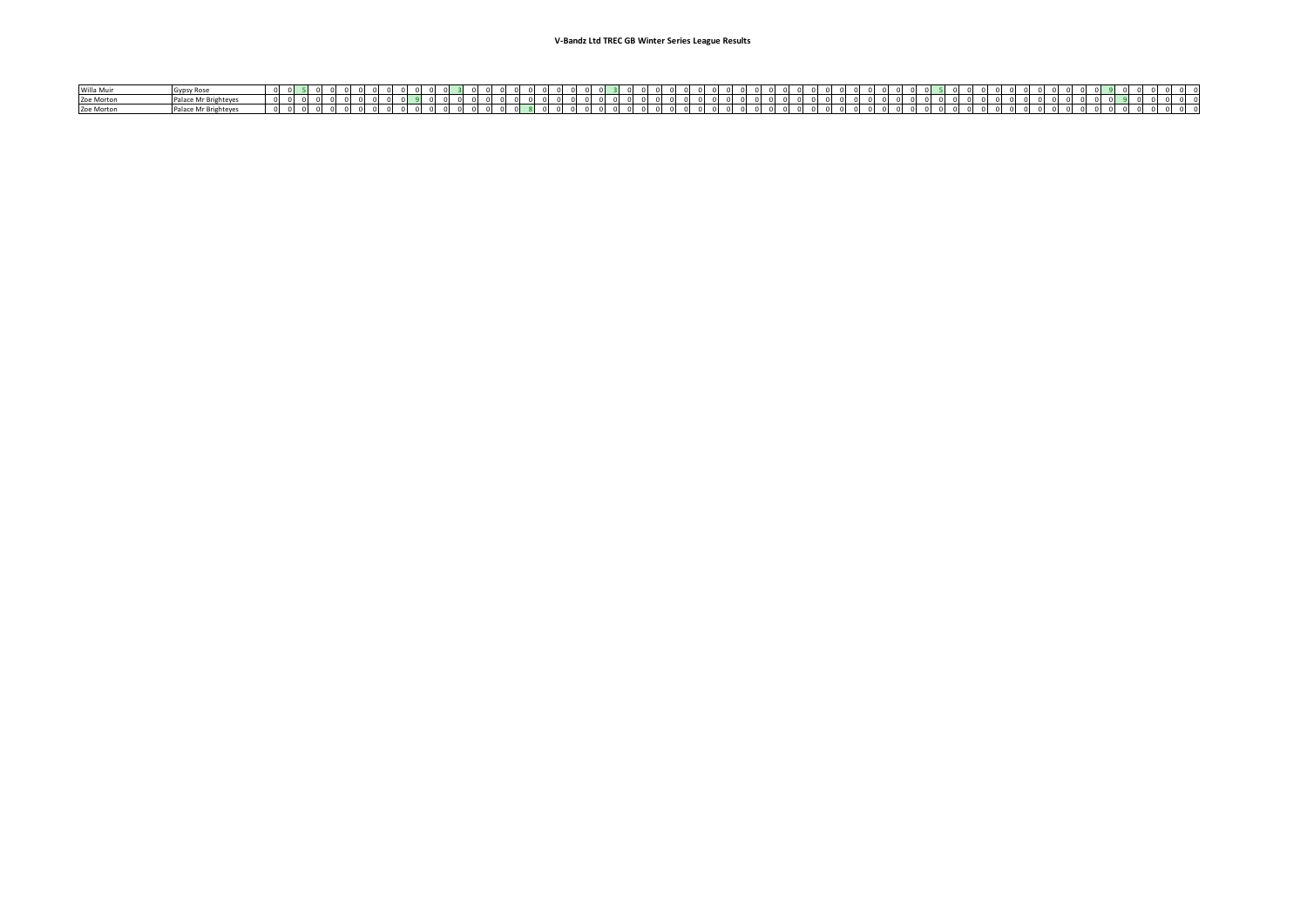| Willa Mui  | <b>Asdan</b>        |     |  |  |  |  |  |  |          |  |  |  |  |  |  |  |
|------------|---------------------|-----|--|--|--|--|--|--|----------|--|--|--|--|--|--|--|
| Zoe Morton | Palace Mr Brighte,  |     |  |  |  |  |  |  |          |  |  |  |  |  |  |  |
| Zoe Morton | Palace Mr Brighteve | n . |  |  |  |  |  |  | $\cdots$ |  |  |  |  |  |  |  |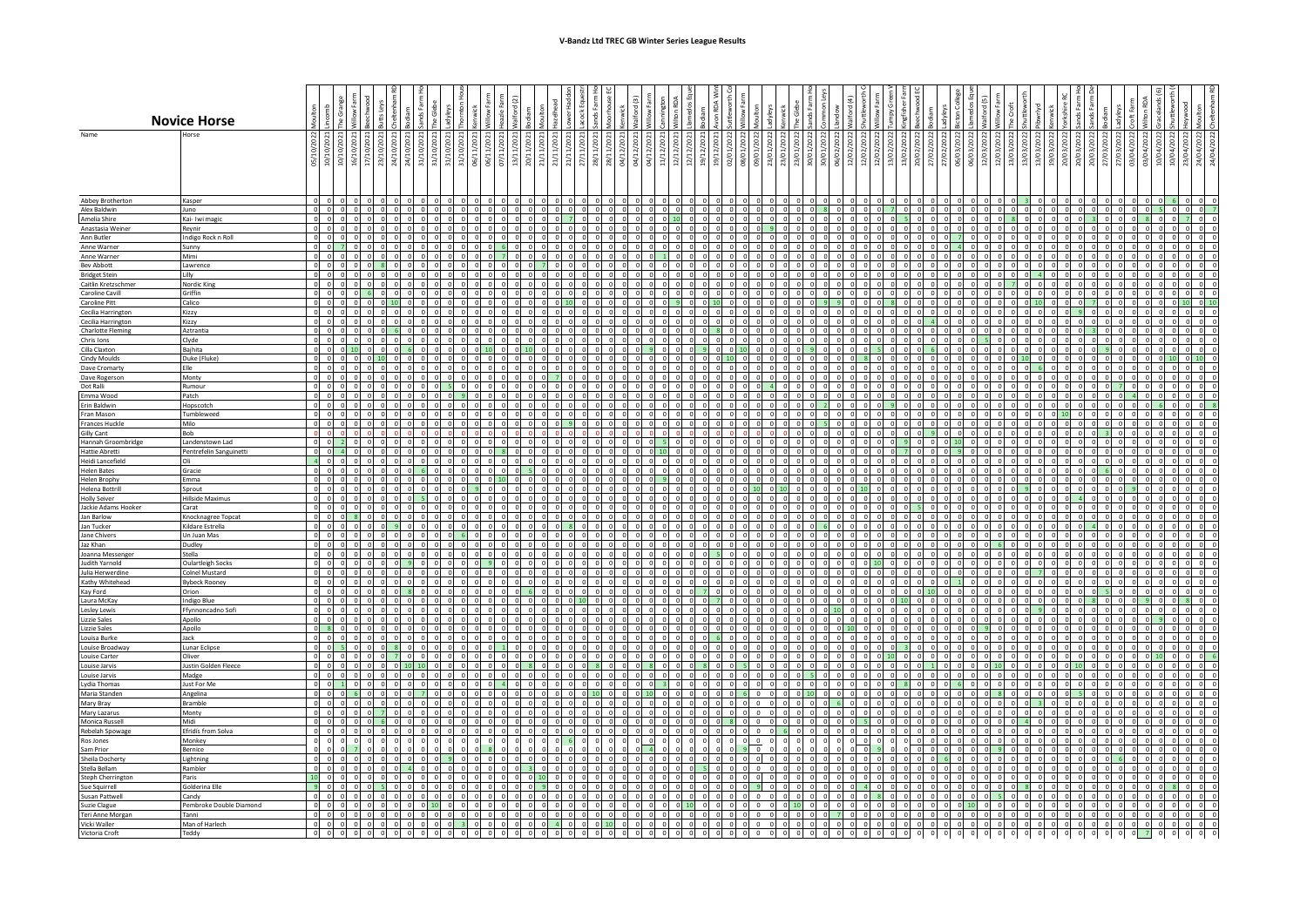|                                                | <b>Novice Horse</b>                   |                       |                |                |  |  |                      |                               |                          |                                                                       |                          |                |                                                        |                     |          |      |   |          |      |  |   |             |                              |                  |                                                                        |                      |                 |                               |       |                       |          |  |                      |                |                             |                              |                                  |                                                |                |                |                      |             |       |  |
|------------------------------------------------|---------------------------------------|-----------------------|----------------|----------------|--|--|----------------------|-------------------------------|--------------------------|-----------------------------------------------------------------------|--------------------------|----------------|--------------------------------------------------------|---------------------|----------|------|---|----------|------|--|---|-------------|------------------------------|------------------|------------------------------------------------------------------------|----------------------|-----------------|-------------------------------|-------|-----------------------|----------|--|----------------------|----------------|-----------------------------|------------------------------|----------------------------------|------------------------------------------------|----------------|----------------|----------------------|-------------|-------|--|
| Name                                           | lorse                                 | 5/1                   | 음 S            | 16/1           |  |  | 딂                    |                               | 06/11/2021               | $\begin{array}{c} 06/11/2021 \\ 07/11/2021 \\ 13/11/2021 \end{array}$ |                          | 20/11/2021     | 21/11/2021<br>21/11/2021<br>21/11/2021                 |                     | 27/13    | 28/1 | 읍 | 04/12/   | 74/1 |  | 등 |             | 09/01/2022                   | 23/01/2022       | 23/01                                                                  | 30/01/2022           | 30/01/2022      | 06/02<br>12/02                | 12/02 | 12/0<br>$\frac{8}{2}$ | 20/02    |  | $\frac{203}{2}$      | 3/0.5          | 13/03/2022                  | 20(61)                       | 20/03                            | 20/03/2022                                     | 27/03/         | 27/03<br>03/04 | 03/04                | $rac{6}{2}$ | 24/04 |  |
| Abbey Brotherton                               | Kasper                                |                       |                |                |  |  |                      |                               | $\Omega$                 |                                                                       |                          |                |                                                        |                     |          |      |   |          |      |  |   |             |                              |                  |                                                                        |                      |                 |                               |       |                       |          |  |                      |                |                             |                              |                                  |                                                |                |                |                      |             |       |  |
| Alex Baldwin<br>Amelia Shire                   | uno<br>Kai- Iwi magic                 | $\sim$<br>$\Omega$    |                | $00$ $00$ $00$ |  |  | $\Omega$<br>$\Omega$ | 0 <sub>0</sub>                | $0$ 0                    |                                                                       | $0$ 0 0 0                |                | 0 0 0 0 0 0 0 0 0 0 0 0 0 0 0 0                        | $n - 7$             |          |      |   |          |      |  |   |             |                              | $\overline{0}$ 0 | $00$ $00$ $00$ $00$ $00$<br>$0$ 0 0                                    |                      | $\sim$          | $00$ $00$<br>$n - n$          |       |                       |          |  | $\Omega$<br>$\Omega$ |                | 8 0 0 0                     |                              |                                  | $00$ $01$ $01$ $01$ $01$ $01$<br>$0 \t 0 \t 3$ | $\overline{0}$ |                | $00$ $01$<br>$0$ 0 8 |             |       |  |
| Anastasia Weiner                               | Reynir                                | $\Omega$              |                | $00$ $00$      |  |  | $\overline{0}$       |                               |                          |                                                                       |                          |                | $\circ$ 0 0 0 0 0 0 0 0 0 0 0                          |                     |          |      |   | $\Omega$ |      |  |   |             |                              |                  | $\begin{smallmatrix}0&0&0&0&0&0&0&0\end{smallmatrix}$                  |                      |                 | $0$ 0 0                       |       |                       | $\Omega$ |  | $\overline{0}$       |                |                             |                              |                                  | 0 0 0 0 0 0 0 0                                |                |                | $0$ 0 0              |             |       |  |
| Ann Butler                                     | Indigo Rock n Roll                    | $\overline{0}$        |                |                |  |  | $\Omega$             | $0\quad 0\quad 0\quad 0\quad$ |                          |                                                                       | $0 \quad 0$              | $\circ$        | $\overline{0}$                                         | 0 <sub>0</sub>      |          |      |   |          |      |  |   |             | $0\quad 0\quad 0\quad 0$     |                  | $0 \quad 0$                                                            | $\overline{0}$       | $\Omega$        |                               |       |                       |          |  | $\Omega$             |                | $0\quad 0\quad 0\quad 0$    |                              | $0 \quad 0$                      | $\overline{0}$                                 | $\Omega$       |                |                      |             |       |  |
| Anne Warner<br>Anne Warner                     | Sunny<br>Mimi                         | $\sim$                | $\sim$         |                |  |  |                      |                               | $\Omega$                 | 0 <sub>0</sub>                                                        | $7$ 0                    |                | 0 <sub>0</sub>                                         | n In                |          |      |   |          |      |  |   |             | $\Omega$<br>0 <sub>0</sub>   | $\Omega$         | $01$ 0<br>0 <sub>0</sub>                                               | $\Omega$             |                 |                               |       |                       |          |  |                      |                | $\Omega$<br>0 0 0 0         |                              | $\circ$<br>0 <sub>0</sub>        | $\sim$                                         |                |                |                      |             |       |  |
| <b>Bey Abbott</b>                              | Lawrence                              |                       |                |                |  |  |                      |                               |                          |                                                                       | $n \cdot n$              |                |                                                        |                     |          |      |   |          |      |  |   |             |                              |                  |                                                                        |                      |                 |                               |       |                       |          |  |                      |                |                             |                              |                                  |                                                |                |                |                      |             |       |  |
| <b>Bridget Stein</b>                           | Lilly                                 |                       |                |                |  |  |                      |                               |                          |                                                                       | $0$ 0                    | $\Omega$       |                                                        |                     |          |      |   |          |      |  |   |             |                              |                  |                                                                        |                      |                 |                               |       |                       |          |  |                      |                |                             |                              |                                  |                                                |                |                |                      |             |       |  |
| Caitlin Kretzschmer<br>Caroline Cavill         | Nordic King<br>Griffin                |                       |                |                |  |  |                      |                               |                          | $\Omega$                                                              | 0 <sub>0</sub>           |                |                                                        |                     |          |      |   |          |      |  |   |             |                              | $\Omega$         |                                                                        |                      |                 |                               |       |                       |          |  |                      |                |                             | $\Omega$                     |                                  |                                                |                |                |                      |             |       |  |
| Caroline Pitt                                  | Calico                                | $\Omega$              | 0 <sup>1</sup> |                |  |  |                      |                               |                          | 0 <sub>0</sub>                                                        | 0 <sub>0</sub>           |                | 0 <sub>0</sub>                                         | 0 <sup>11</sup>     |          |      |   |          |      |  |   |             | 0 <sub>0</sub>               |                  | $n \nightharpoonup n$                                                  |                      |                 |                               |       |                       |          |  |                      |                |                             | $\Omega$                     | $n$ $n$                          |                                                |                |                |                      |             |       |  |
| Cecilia Harrington                             | Kizzy                                 |                       |                |                |  |  |                      |                               | $\Omega$                 |                                                                       |                          |                |                                                        |                     |          |      |   |          |      |  |   |             | $\Omega$                     | $\Omega$         |                                                                        |                      |                 |                               |       |                       |          |  |                      |                | $\Omega$                    |                              |                                  |                                                |                |                |                      |             |       |  |
| Cecilia Harrington<br><b>Charlotte Fleming</b> | Kizzy<br>Aztrantia                    | $\Omega$              |                | $00$ $00$      |  |  | $\Omega$             | 0 <sub>0</sub>                |                          | $0\quad 0$                                                            | $0 \quad 0$              | $\mathbf 0$    | 0 0 0 0 0 0 0 0 0 0 0 0 0 0<br>$\overline{\mathbf{0}}$ |                     |          |      |   |          |      |  |   | $0 \mid 0$  | $0$ 0 0 0<br>$0$ 0           |                  | $0$ 0 0<br>$0 \quad 0$                                                 | $\overline{0}$       | $\Omega$        | 0 <sub>0</sub>                |       |                       |          |  |                      | $0 \cup 0$     | $0$ 0 0 0<br>$\overline{0}$ | $\circ$                      | 0 <sub>0</sub>                   | $0$ 0 0                                        | $\sim$         |                |                      |             |       |  |
| Chris Ions                                     | Clyde                                 |                       |                |                |  |  |                      |                               |                          | $0$ 0                                                                 | $0$ 0                    |                | 0 <sub>0</sub>                                         |                     |          |      |   |          |      |  |   |             |                              | $0$ 0            | $0$ 0                                                                  |                      |                 |                               |       |                       |          |  |                      |                |                             | 0 <sub>0</sub>               | $0$ 0                            |                                                |                |                |                      |             |       |  |
| Cilla Claxton                                  | Baihita                               | $\sim$                | $\sim$         |                |  |  |                      | $0$ 0 0 10                    |                          |                                                                       | $0 \quad 0 \quad 10$     |                | $\sim$                                                 | 0 <sup>1</sup>      |          |      |   |          |      |  |   | $0$ 10      |                              |                  | $0 \quad 0 \quad 0 \quad 0$                                            |                      | $\sim$          | n In                          |       |                       |          |  |                      | 0 <sup>1</sup> |                             | 0 <sub>0</sub>               | 0 <sub>0</sub>                   |                                                |                |                |                      |             |       |  |
| Cindy Moulds<br>Dave Cromarty                  | Duke (Fluke)<br>Elle                  |                       |                |                |  |  |                      |                               |                          |                                                                       | $0$ 0 0                  |                |                                                        | 0 <sub>0</sub>      |          |      |   |          |      |  |   |             | $\Omega$                     |                  | 0 <sub>0</sub>                                                         |                      |                 |                               |       |                       |          |  |                      |                |                             |                              | 0 <sub>0</sub>                   |                                                |                |                |                      |             |       |  |
| Dave Rogerson                                  | Monty                                 |                       |                |                |  |  |                      |                               | $\Omega$                 | $\Omega$                                                              | 0 <sub>0</sub>           | $\Omega$       |                                                        |                     |          |      |   |          |      |  |   |             | $\Omega$                     | $\overline{0}$   | 0 <sub>0</sub>                                                         |                      |                 |                               |       |                       |          |  |                      |                | $\Omega$                    | $\Omega$                     | $\Omega$                         |                                                |                |                |                      |             |       |  |
| Dot Ralli                                      | Rumour                                |                       |                |                |  |  |                      |                               |                          |                                                                       |                          |                |                                                        | $n$ $n$             |          |      |   |          |      |  |   |             |                              |                  |                                                                        |                      |                 |                               |       |                       |          |  |                      |                |                             |                              |                                  |                                                |                |                |                      |             |       |  |
| Emma Wood<br>Erin Baldwin                      | Patch<br>Hopscotch                    | $\sim$                | $\sim$         |                |  |  |                      |                               |                          | 0 <sub>0</sub>                                                        | 0 <sub>0</sub>           | $\overline{0}$ | 0 <sub>0</sub>                                         | n In                |          |      |   |          |      |  |   |             | 0 <sub>0</sub>               |                  | $n$ $n$                                                                | $\Omega$             |                 | $\Omega$                      |       |                       |          |  |                      |                |                             | $\sim$                       |                                  |                                                |                |                |                      |             |       |  |
| Fran Mason                                     | Tumbleweed                            | $\Omega$              | 0 <sup>1</sup> |                |  |  |                      |                               | 0 <sub>0</sub>           |                                                                       | $0$ 0 0 0                |                |                                                        | $0 \quad 0 \quad 0$ |          |      |   |          |      |  |   |             | $0$ 0 0 0                    |                  | $0$ 0 0                                                                |                      | n I             | 0 <sub>0</sub>                |       |                       |          |  |                      |                |                             |                              |                                  | $0$ $0$ $10$ $0$ $0$                           |                |                |                      |             |       |  |
| <b>Frances Huckle</b>                          | Milo                                  | $\Omega$              |                |                |  |  | $\Omega$             | $01$ $02$                     | $\Omega$                 | $\Omega$                                                              | $0 \quad 0$              | $\circ$        | $\Omega$                                               |                     |          |      |   |          |      |  |   | $0\sqrt{0}$ | $0$ 0                        |                  | $0$ 0                                                                  | $\Omega$<br>$\Omega$ |                 |                               |       |                       |          |  | $\Omega$             | $0 \cup 0$     |                             | $0\quad 0$<br>0 <sub>0</sub> | $0$ 0<br>0 <sup>1</sup>          | $\Omega$                                       |                |                |                      |             |       |  |
| Gilly Cant<br>Hannah Groombridg                | Bob<br>Landenstown Lad                |                       |                |                |  |  |                      |                               | $\Omega$                 | $\Omega$                                                              | 0 <sub>0</sub>           | $\sim$         | $\sim$                                                 | n In                |          |      |   |          |      |  |   |             | $\Omega$                     | $\Omega$         | 0 <sub>0</sub>                                                         | $\Omega$             | $\sim$          | $\mathbf{a}$                  |       |                       |          |  |                      |                |                             | $0\quad 0$                   | 0 <sup>1</sup>                   | $\Omega$                                       |                |                |                      |             |       |  |
| Hattie Abretti                                 | Pentrefelin Sanguinett                |                       |                |                |  |  |                      |                               |                          |                                                                       |                          | $\overline{0}$ |                                                        |                     |          |      |   |          |      |  |   |             |                              |                  |                                                                        |                      |                 |                               |       |                       |          |  |                      |                |                             |                              |                                  |                                                |                |                |                      |             |       |  |
| Heidi Lancefield<br><b>Helen Bates</b>         | Oli                                   |                       |                |                |  |  |                      |                               | $\Omega$                 | 0 <sub>0</sub><br>$\Omega$                                            | $0$ 0 0                  |                | $\Omega$<br>$\Omega$                                   | $01$ 0              |          |      |   |          |      |  |   |             | 0 <sub>0</sub><br>$\Omega$   | $\Omega$         | $00$ $00$<br>0 <sup>1</sup>                                            |                      |                 | $n$ $n$                       |       |                       |          |  |                      |                | $\Omega$<br>$\Omega$        | $\Omega$<br>$\Omega$         | 0 <sub>0</sub><br>0 <sub>0</sub> |                                                |                |                |                      |             |       |  |
| <b>Helen Brophy</b>                            | Gracie<br>mma                         |                       |                |                |  |  |                      |                               |                          |                                                                       | 0 <sub>0</sub>           |                |                                                        |                     |          |      |   |          |      |  |   |             |                              |                  |                                                                        |                      |                 |                               |       |                       |          |  |                      |                |                             |                              |                                  |                                                |                |                |                      |             |       |  |
| Helena Bottrill                                | Sprout                                | $\sim$                | $\mathsf{d}$   |                |  |  |                      |                               |                          | $\Omega$                                                              | $01$ 0                   | $\Omega$       | $\sim$                                                 | $n$ $n$             |          |      |   |          |      |  |   |             |                              |                  | $0 \quad 10 \quad 0$                                                   | $\Omega$             |                 | $n^{n}$                       |       |                       |          |  |                      |                | $\Omega$                    | $\Omega$                     | $01$ 0                           | $\Omega$                                       |                |                |                      |             |       |  |
| <b>Holly Seiver</b>                            | <b>Hillside Maximus</b>               | $\Omega$              | $\sim$         |                |  |  |                      | $00$ $00$                     | $\Omega$                 |                                                                       | $0 \quad 0$              | $\Omega$       | 0 0 0 0 0 0 0                                          | $0$ 0               |          |      |   |          |      |  |   |             | $\circ$                      | $\Omega$         | $0 \quad 0$<br>$\circ$ $\circ$ $\circ$ $\circ$ $\circ$ $\circ$ $\circ$ | $\Omega$             |                 | $01$ 0<br>$0 \quad 0 \quad 0$ |       |                       |          |  |                      |                | $\Omega$                    |                              |                                  | $\Omega$<br>$0$ 0 0 0 0 0 0                    | $\sim$         | 0 <sub>0</sub> |                      |             |       |  |
| Jackie Adams Hooker<br>Jan Barlow              | Carat<br>Knocknagree Topcat           |                       |                |                |  |  |                      | $0 \cup 0$                    | $0$ $0$                  |                                                                       | $0$ 0                    | $\Omega$       | $\Omega$                                               | 0 <sub>0</sub>      |          |      |   |          |      |  |   | $0 \cup 0$  | $0\quad 0$                   |                  | 0 <sub>0</sub>                                                         | $\Omega$             | $\Omega$        |                               |       |                       |          |  | $\Omega$             | $0\sqrt{0}$    |                             | 0 <sub>0</sub>               | 0 <sub>0</sub>                   | $\Omega$                                       |                |                |                      |             |       |  |
| Jan Tucker                                     | Kildare Estrella                      |                       |                |                |  |  |                      |                               | $01$ 0                   |                                                                       | 0 <sup>1</sup>           |                |                                                        |                     |          |      |   |          |      |  |   |             | $\Omega$                     | $\Omega$         |                                                                        |                      |                 |                               |       |                       |          |  |                      |                | $\Omega$                    | $\Omega$                     |                                  |                                                |                |                |                      |             |       |  |
| Jane Chivers<br>Jaz Khan                       | Un Juan Mas<br>Dudley                 |                       |                |                |  |  |                      |                               | 0 <sub>0</sub>           |                                                                       | $0$ 0<br>$0 \quad 0$     | $\Omega$       | $\circ$                                                | $n^{n}$<br>$01$ 0   |          |      |   |          |      |  |   |             | 0 <sub>0</sub>               |                  | 0 <sub>0</sub>                                                         | $\Omega$             | $\sim$          |                               |       |                       |          |  |                      |                |                             | റ റ                          | 0 <sub>0</sub><br>$01$ 0         | $\Omega$                                       |                |                |                      |             |       |  |
| Joanna Messenger                               | Stella                                |                       |                |                |  |  |                      |                               | $\Omega$                 | $\sim$                                                                | $0 \quad 0 \quad 0$      |                | - ol                                                   | 0 <sup>1</sup>      |          |      |   |          |      |  |   |             | $\Omega$                     | $\Omega$         | 0 <sub>0</sub>                                                         | $\sim$               |                 |                               |       |                       |          |  |                      |                | $\sim$                      | n                            | 0 <sub>0</sub>                   |                                                |                |                |                      |             |       |  |
| Judith Yarnold                                 | Oulartleigh Socks                     |                       |                |                |  |  |                      |                               |                          |                                                                       | 0 <sub>0</sub>           |                |                                                        |                     |          |      |   |          |      |  |   |             | $\Omega$                     | $\Omega$         |                                                                        |                      |                 |                               |       |                       |          |  |                      |                | $\Omega$                    | $\Omega$                     |                                  |                                                |                |                |                      |             |       |  |
| Julia Herwerdine<br>Kathy Whitehead            | olnel Mustard<br><b>Bybeck Rooney</b> | $\sim$                | $n^{n}$        |                |  |  |                      |                               |                          |                                                                       |                          |                |                                                        |                     |          |      |   |          |      |  |   |             |                              | $\Omega$         |                                                                        |                      |                 |                               |       |                       |          |  |                      |                |                             | $\Omega$                     | $n \cdot n$                      |                                                |                |                |                      |             |       |  |
| Kav Ford                                       | Orion                                 | $\mathbf 0$           |                |                |  |  |                      |                               |                          | $\Omega$                                                              | 0 <sub>0</sub>           |                |                                                        |                     |          |      |   |          |      |  |   |             |                              | $\Omega$         |                                                                        |                      |                 |                               |       |                       |          |  |                      |                | $\Omega$                    | $\overline{\mathbf{0}}$      |                                  |                                                |                |                |                      |             |       |  |
| Laura McKay                                    | <b>Indigo Blue</b>                    |                       | $n$ $n$        |                |  |  |                      |                               |                          |                                                                       | 0 <sub>0</sub>           | $\Omega$       |                                                        |                     |          |      |   |          |      |  |   |             |                              |                  | $01$ 0                                                                 | $\Omega$             |                 |                               |       |                       |          |  |                      |                |                             | 0 <sub>0</sub>               | $01$ 0                           |                                                |                |                |                      |             |       |  |
| Lesley Lewis<br><b>Lizzie Sales</b>            | Ffynnoncadno Sofi<br>Apollo           | $\Omega$              | 0 <sub>0</sub> |                |  |  |                      |                               | $\Omega$                 | $\Omega$                                                              | $0\sqrt{0}$              |                | 0 <sub>0</sub>                                         | 0 <sub>0</sub>      | $\Omega$ |      |   |          |      |  |   |             | $\Omega$                     | $\Omega$         | $01$ $01$                                                              | $\Omega$             | 0 <sup>10</sup> |                               |       |                       |          |  |                      |                |                             | $\Omega$                     | $0 \cup 0$                       |                                                |                |                |                      |             |       |  |
| Lizzie Sales                                   | Apollo                                | $\overline{0}$        |                |                |  |  |                      |                               |                          |                                                                       |                          |                |                                                        |                     |          |      |   |          |      |  |   |             |                              |                  |                                                                        |                      |                 |                               |       |                       |          |  |                      |                |                             |                              |                                  |                                                |                |                |                      |             |       |  |
| Louisa Burke                                   | Jack                                  | $\Omega$              |                |                |  |  |                      |                               |                          |                                                                       |                          |                |                                                        |                     |          |      |   |          |      |  |   |             |                              |                  |                                                                        |                      |                 |                               |       |                       |          |  |                      |                |                             |                              |                                  |                                                |                |                |                      |             |       |  |
| Louise Broadway<br>Louise Carter               | Lunar Eclipse<br>Oliver               | $\Omega$              | n In           |                |  |  |                      |                               |                          | $\Omega$                                                              |                          |                | - 01                                                   |                     |          |      |   |          |      |  |   |             |                              | $\Omega$         |                                                                        |                      |                 |                               |       |                       |          |  |                      |                |                             | $\Omega$                     |                                  |                                                |                |                |                      |             |       |  |
| Louise Jarvis                                  | Justin Golden Fleece                  |                       |                |                |  |  |                      |                               |                          |                                                                       |                          |                |                                                        |                     |          |      |   |          |      |  |   |             |                              |                  |                                                                        |                      |                 |                               |       |                       |          |  |                      |                |                             |                              |                                  |                                                |                |                |                      |             |       |  |
| Louise Jarvis<br>Lydia Thomas                  | Madge<br>Just For Me                  | n I<br>$\overline{0}$ | 0 <sup>1</sup> |                |  |  |                      |                               | $\Omega$                 | $\Omega$                                                              | $4 \times 0$             |                |                                                        |                     |          |      |   |          |      |  |   |             | $\overline{0}$               | $\Omega$         |                                                                        |                      |                 |                               |       |                       |          |  |                      |                |                             | $\Omega$                     |                                  |                                                |                |                |                      |             |       |  |
| Maria Standen                                  | Angelina                              | $\Omega$              | $\Omega$       |                |  |  |                      |                               | 0 <sub>0</sub>           |                                                                       | $0\quad 0\quad 0$        |                | $\sim$                                                 | 0 <sub>0</sub>      |          |      |   |          |      |  |   |             | $0$ 0                        |                  | $0 \quad 0 \quad 10$                                                   |                      |                 |                               |       |                       |          |  |                      |                | $\sim$                      | $\Omega$                     |                                  |                                                |                |                |                      |             |       |  |
| Mary Bray                                      | Bramble                               | $\circ$               | 0 <sub>0</sub> |                |  |  | $\Omega$             | $0\quad 0\quad 0\quad 0$      |                          |                                                                       | $0$ 0 0 0                |                |                                                        | $0 \cup 0$          |          |      |   |          |      |  |   |             | $0\quad 0\quad 0\quad 0$     |                  | $0\quad 0\quad 0$                                                      |                      | - 01            |                               |       |                       |          |  |                      |                |                             | $\Omega$                     | $0\sqrt{0}$                      | $\Omega$                                       |                |                |                      |             |       |  |
| Mary Lazarus<br>Monica Russell                 | Monty<br>Midi                         | $\overline{a}$        | 0 <sup>1</sup> |                |  |  | $\Omega$             |                               |                          | 0 0 0 0 0 0 0 0                                                       |                          |                |                                                        | 0 <sup>1</sup>      |          |      |   |          |      |  |   |             | $\overline{0}$               |                  | $8$ 0 0 0 0 0 0 0                                                      |                      | $\Omega$        |                               |       |                       |          |  |                      |                |                             |                              |                                  |                                                |                |                |                      |             |       |  |
| Rebelah Spowage                                | Efridís from Solva                    | $\overline{0}$        | $\Omega$       |                |  |  |                      | 0 <sub>0</sub>                | $0$ 0                    |                                                                       | $0$ 0                    | $\overline{0}$ | $\overline{0}$                                         |                     |          |      |   |          |      |  |   |             | $0$ 0 0 0                    |                  | 6 0                                                                    | $\Omega$             | $\Omega$        |                               |       |                       |          |  |                      |                |                             |                              |                                  |                                                |                |                |                      |             |       |  |
| Ros Jones                                      | Monkey                                |                       |                |                |  |  |                      |                               |                          |                                                                       |                          |                |                                                        |                     |          |      |   |          |      |  |   |             | $\overline{\phantom{a}}$     |                  |                                                                        |                      |                 |                               |       |                       |          |  |                      |                |                             |                              |                                  |                                                |                |                |                      |             |       |  |
| Sam Prior<br>Sheila Docherty                   | Bernice                               |                       |                |                |  |  |                      |                               |                          |                                                                       |                          |                |                                                        |                     |          |      |   |          |      |  |   |             | $\overline{\phantom{a}}$     |                  |                                                                        |                      |                 |                               |       |                       |          |  |                      |                |                             |                              |                                  |                                                |                |                |                      |             |       |  |
| Stella Bellam                                  | .ightning<br>Rambler                  | $\sim$                | $n$ $n$        |                |  |  |                      |                               |                          | $0$ 0                                                                 | 0 <sub>0</sub>           |                | $\sim$                                                 | 0 <sub>0</sub>      |          |      |   |          |      |  |   |             | $0\quad 0$<br>0 <sub>0</sub> |                  | 0 <sub>0</sub>                                                         | $\sim$               |                 |                               |       |                       |          |  |                      |                |                             |                              |                                  |                                                |                |                |                      |             |       |  |
| Steph Cherrington                              | Paris                                 |                       |                |                |  |  | $\Omega$             | $01$ $01$                     | $\overline{\phantom{0}}$ | $\Omega$                                                              | 0 <sub>0</sub>           |                | $0 \mid 10$                                            |                     |          |      |   |          |      |  |   |             | 0 0 0 0                      |                  | 0 <sub>0</sub>                                                         | $\Omega$             |                 |                               |       |                       |          |  |                      |                | $\Omega$                    | $\Omega$                     |                                  |                                                |                |                |                      |             |       |  |
| Sue Squirrell                                  | Golderina Elle                        | $\Omega$              | 0 <sub>0</sub> |                |  |  |                      |                               |                          | $\sqrt{2}$                                                            | 0 <sub>1</sub><br>$01$ 0 |                |                                                        |                     |          |      |   |          |      |  |   |             | $0\quad 0\quad 0\quad 0$     |                  | $0 \quad 0 \quad 0$                                                    |                      |                 |                               |       |                       |          |  |                      |                | $00$ $00$                   | $\Omega$                     |                                  |                                                |                |                |                      |             |       |  |
| Susan Pattwell<br>Suzie Clague                 | Candy<br>Pembroke Double Diamond      |                       |                |                |  |  |                      |                               |                          |                                                                       |                          |                |                                                        |                     |          |      |   |          |      |  |   |             | $^{\circ}$                   |                  | $0 \quad 0 \quad 0$                                                    |                      |                 |                               |       |                       |          |  |                      |                |                             |                              | 0 <sub>0</sub>                   |                                                |                |                |                      |             |       |  |
| Teri Anne Morga                                | Tanni                                 | $\sim$                | $\sim$         |                |  |  |                      |                               |                          |                                                                       |                          |                |                                                        |                     |          |      |   |          |      |  |   |             | $0\quad 0$                   |                  |                                                                        |                      |                 |                               |       |                       |          |  |                      |                |                             |                              |                                  | 0 0 0 0 0 0 0 0                                |                | $\sim$         |                      |             |       |  |
| Vicki Waller<br>Victoria Croft                 | Man of Harlech                        | $\Omega$              |                |                |  |  |                      |                               |                          |                                                                       |                          |                |                                                        |                     |          |      |   |          |      |  |   |             | $\Omega$                     |                  |                                                                        |                      |                 |                               |       |                       |          |  |                      |                | $\Omega$                    | $\Omega$                     |                                  |                                                |                |                |                      |             |       |  |
|                                                | Teddy                                 |                       |                |                |  |  |                      |                               |                          |                                                                       |                          |                |                                                        |                     |          |      |   |          |      |  |   |             |                              |                  |                                                                        |                      |                 |                               |       |                       |          |  |                      |                |                             | $\circ$                      | $0\quad 0$                       |                                                | $0\quad 0$     | $\circ$        |                      |             |       |  |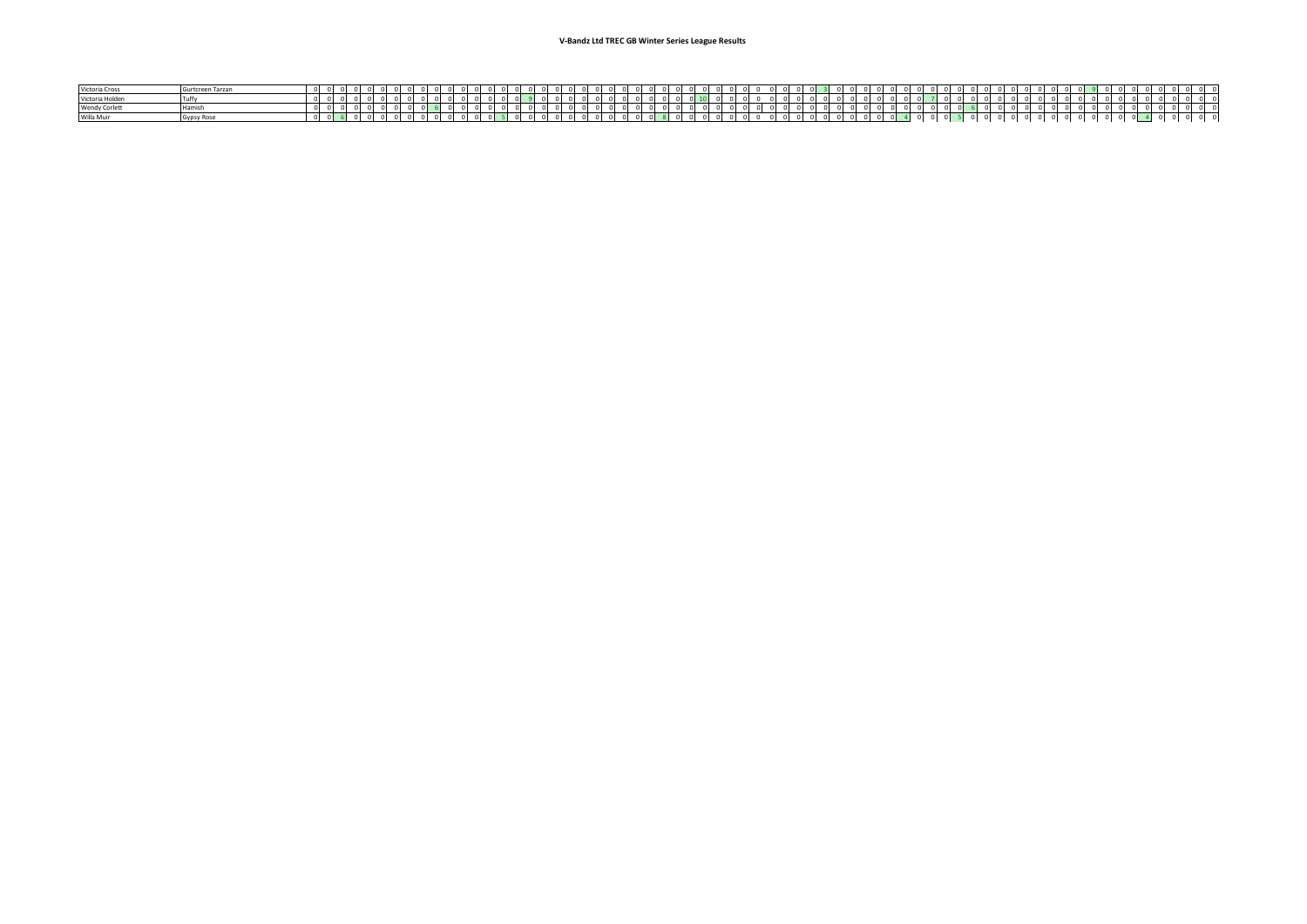| Victoria Cross       | Gurtcreen Tarzan |  |  |  |  |  |  |  |            |  |  |  |  |  |  |  |  |  |  |  |  |  |  |  |  |  |  |  |  |  |  |  |  |  |  |
|----------------------|------------------|--|--|--|--|--|--|--|------------|--|--|--|--|--|--|--|--|--|--|--|--|--|--|--|--|--|--|--|--|--|--|--|--|--|--|
| Victoria Holden      |                  |  |  |  |  |  |  |  |            |  |  |  |  |  |  |  |  |  |  |  |  |  |  |  |  |  |  |  |  |  |  |  |  |  |  |
| <b>Wendy Corlett</b> | <b>Hamis</b>     |  |  |  |  |  |  |  |            |  |  |  |  |  |  |  |  |  |  |  |  |  |  |  |  |  |  |  |  |  |  |  |  |  |  |
| Willa Muir           | Gypsy Rose       |  |  |  |  |  |  |  | $^{\circ}$ |  |  |  |  |  |  |  |  |  |  |  |  |  |  |  |  |  |  |  |  |  |  |  |  |  |  |